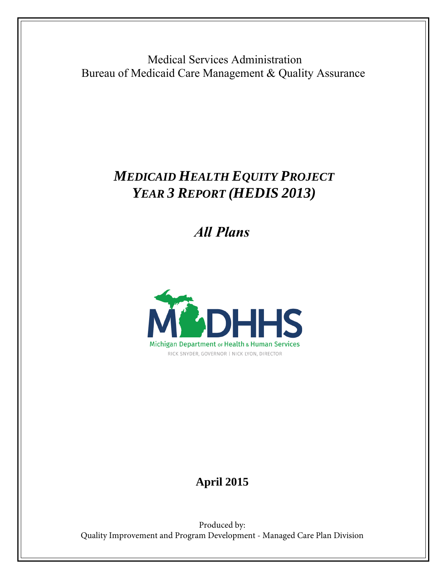Medical Services Administration Bureau of Medicaid Care Management & Quality Assurance

# *MEDICAID HEALTH EQUITY PROJECT YEAR 3 REPORT (HEDIS 2013)*

 *All Plans*



# **April 2015**

Produced by: Quality Improvement and Program Development - Managed Care Plan Division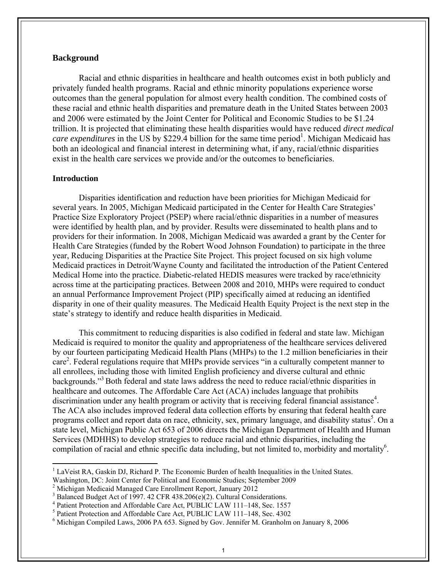### **Background**

Racial and ethnic disparities in healthcare and health outcomes exist in both publicly and privately funded health programs. Racial and ethnic minority populations experience worse outcomes than the general population for almost every health condition. The combined costs of these racial and ethnic health disparities and premature death in the United States between 2003 and 2006 were estimated by the Joint Center for Political and Economic Studies to be \$1.24 trillion. It is projected that eliminating these health disparities would have reduced *direct medical*  care expenditures in the US by \$229.4 billion for the same time period<sup>1</sup>. Michigan Medicaid has both an ideological and financial interest in determining what, if any, racial/ethnic disparities exist in the health care services we provide and/or the outcomes to beneficiaries.

### **Introduction**

Disparities identification and reduction have been priorities for Michigan Medicaid for several years. In 2005, Michigan Medicaid participated in the Center for Health Care Strategies' Practice Size Exploratory Project (PSEP) where racial/ethnic disparities in a number of measures were identified by health plan, and by provider. Results were disseminated to health plans and to providers for their information. In 2008, Michigan Medicaid was awarded a grant by the Center for Health Care Strategies (funded by the Robert Wood Johnson Foundation) to participate in the three year, Reducing Disparities at the Practice Site Project. This project focused on six high volume Medicaid practices in Detroit/Wayne County and facilitated the introduction of the Patient Centered Medical Home into the practice. Diabetic-related HEDIS measures were tracked by race/ethnicity across time at the participating practices. Between 2008 and 2010, MHPs were required to conduct an annual Performance Improvement Project (PIP) specifically aimed at reducing an identified disparity in one of their quality measures. The Medicaid Health Equity Project is the next step in the state's strategy to identify and reduce health disparities in Medicaid.

This commitment to reducing disparities is also codified in federal and state law. Michigan Medicaid is required to monitor the quality and appropriateness of the healthcare services delivered by our fourteen participating Medicaid Health Plans (MHPs) to the 1.2 million beneficiaries in their care<sup>2</sup>. Federal regulations require that MHPs provide services "in a culturally competent manner to all enrollees, including those with limited English proficiency and diverse cultural and ethnic backgrounds."3 Both federal and state laws address the need to reduce racial/ethnic disparities in healthcare and outcomes. The Affordable Care Act (ACA) includes language that prohibits discrimination under any health program or activity that is receiving federal financial assistance<sup>4</sup>. The ACA also includes improved federal data collection efforts by ensuring that federal health care programs collect and report data on race, ethnicity, sex, primary language, and disability status<sup>5</sup>. On a state level, Michigan Public Act 653 of 2006 directs the Michigan Department of Health and Human Services (MDHHS) to develop strategies to reduce racial and ethnic disparities, including the compilation of racial and ethnic specific data including, but not limited to, morbidity and mortality<sup>6</sup>.

<sup>&</sup>lt;sup>1</sup> LaVeist RA, Gaskin DJ, Richard P. The Economic Burden of health Inequalities in the United States.

Washington, DC: Joint Center for Political and Economic Studies; September 2009

<sup>&</sup>lt;sup>2</sup> Michigan Medicaid Managed Care Enrollment Report, January 2012

<sup>3</sup> Balanced Budget Act of 1997. 42 CFR 438.206(e)(2). Cultural Considerations.

<sup>4</sup> Patient Protection and Affordable Care Act, PUBLIC LAW 111–148, Sec. 1557

<sup>5</sup> Patient Protection and Affordable Care Act, PUBLIC LAW 111–148, Sec. 4302

<sup>&</sup>lt;sup>6</sup> Michigan Compiled Laws, 2006 PA 653. Signed by Gov. Jennifer M. Granholm on January 8, 2006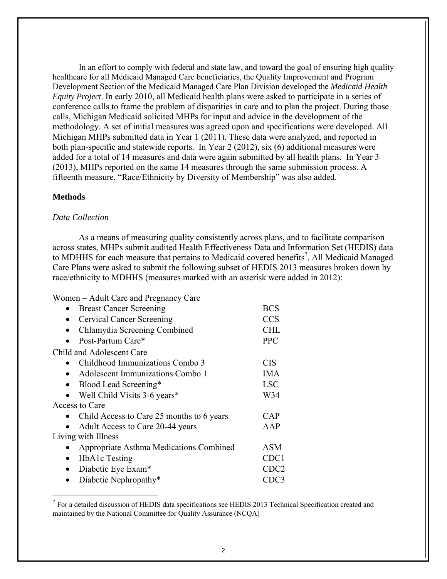In an effort to comply with federal and state law, and toward the goal of ensuring high quality healthcare for all Medicaid Managed Care beneficiaries, the Quality Improvement and Program Development Section of the Medicaid Managed Care Plan Division developed the *Medicaid Health Equity Project*. In early 2010, all Medicaid health plans were asked to participate in a series of conference calls to frame the problem of disparities in care and to plan the project. During those calls, Michigan Medicaid solicited MHPs for input and advice in the development of the methodology. A set of initial measures was agreed upon and specifications were developed. All Michigan MHPs submitted data in Year 1 (2011). These data were analyzed, and reported in both plan-specific and statewide reports. In Year 2 (2012), six (6) additional measures were added for a total of 14 measures and data were again submitted by all health plans. In Year 3 (2013), MHPs reported on the same 14 measures through the same submission process. A fifteenth measure, "Race/Ethnicity by Diversity of Membership" was also added.

### **Methods**

### *Data Collection*

As a means of measuring quality consistently across plans, and to facilitate comparison across states, MHPs submit audited Health Effectiveness Data and Information Set (HEDIS) data to MDHHS for each measure that pertains to Medicaid covered benefits<sup>7</sup>. All Medicaid Managed Care Plans were asked to submit the following subset of HEDIS 2013 measures broken down by race/ethnicity to MDHHS (measures marked with an asterisk were added in 2012):

Women – Adult Care and Pregnancy Care

| <b>Breast Cancer Screening</b>                | <b>BCS</b>       |
|-----------------------------------------------|------------------|
| <b>Cervical Cancer Screening</b><br>$\bullet$ | <b>CCS</b>       |
| Chlamydia Screening Combined                  | <b>CHL</b>       |
| Post-Partum Care*                             | <b>PPC</b>       |
| Child and Adolescent Care                     |                  |
| Childhood Immunizations Combo 3               | <b>CIS</b>       |
| Adolescent Immunizations Combo 1              | <b>IMA</b>       |
| Blood Lead Screening*                         | <b>LSC</b>       |
| Well Child Visits 3-6 years*                  | W34              |
| Access to Care                                |                  |
| Child Access to Care 25 months to 6 years     | <b>CAP</b>       |
| Adult Access to Care 20-44 years              | AAP              |
| Living with Illness                           |                  |
| Appropriate Asthma Medications Combined       | ASM              |
| HbA1c Testing<br>$\bullet$                    | CDC1             |
| Diabetic Eye Exam*<br>$\bullet$               | CDC <sub>2</sub> |
| Diabetic Nephropathy*                         | CDC3             |

 $<sup>7</sup>$  For a detailed discussion of HEDIS data specifications see HEDIS 2013 Technical Specification created and</sup> maintained by the National Committee for Quality Assurance (NCQA)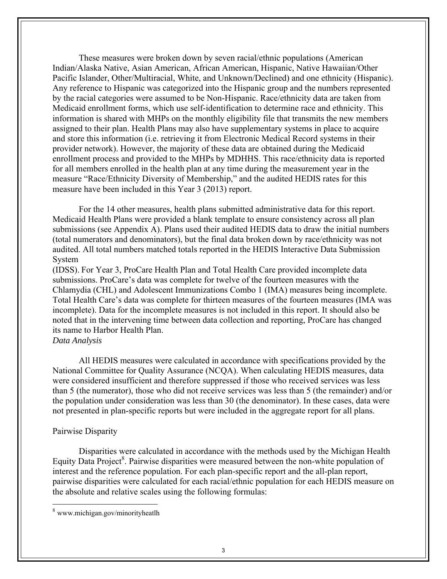These measures were broken down by seven racial/ethnic populations (American Indian/Alaska Native, Asian American, African American, Hispanic, Native Hawaiian/Other Pacific Islander, Other/Multiracial, White, and Unknown/Declined) and one ethnicity (Hispanic). Any reference to Hispanic was categorized into the Hispanic group and the numbers represented by the racial categories were assumed to be Non-Hispanic. Race/ethnicity data are taken from Medicaid enrollment forms, which use self-identification to determine race and ethnicity. This information is shared with MHPs on the monthly eligibility file that transmits the new members assigned to their plan. Health Plans may also have supplementary systems in place to acquire and store this information (i.e. retrieving it from Electronic Medical Record systems in their provider network). However, the majority of these data are obtained during the Medicaid enrollment process and provided to the MHPs by MDHHS. This race/ethnicity data is reported for all members enrolled in the health plan at any time during the measurement year in the measure "Race/Ethnicity Diversity of Membership," and the audited HEDIS rates for this measure have been included in this Year 3 (2013) report.

For the 14 other measures, health plans submitted administrative data for this report. Medicaid Health Plans were provided a blank template to ensure consistency across all plan submissions (see Appendix A). Plans used their audited HEDIS data to draw the initial numbers (total numerators and denominators), but the final data broken down by race/ethnicity was not audited. All total numbers matched totals reported in the HEDIS Interactive Data Submission System

(IDSS). For Year 3, ProCare Health Plan and Total Health Care provided incomplete data submissions. ProCare's data was complete for twelve of the fourteen measures with the Chlamydia (CHL) and Adolescent Immunizations Combo 1 (IMA) measures being incomplete. Total Health Care's data was complete for thirteen measures of the fourteen measures (IMA was incomplete). Data for the incomplete measures is not included in this report. It should also be noted that in the intervening time between data collection and reporting, ProCare has changed its name to Harbor Health Plan.

### *Data Analysis*

All HEDIS measures were calculated in accordance with specifications provided by the National Committee for Quality Assurance (NCQA). When calculating HEDIS measures, data were considered insufficient and therefore suppressed if those who received services was less than 5 (the numerator), those who did not receive services was less than 5 (the remainder) and/or the population under consideration was less than 30 (the denominator). In these cases, data were not presented in plan-specific reports but were included in the aggregate report for all plans.

### Pairwise Disparity

Disparities were calculated in accordance with the methods used by the Michigan Health Equity Data Project<sup>8</sup>. Pairwise disparities were measured between the non-white population of interest and the reference population. For each plan-specific report and the all-plan report, pairwise disparities were calculated for each racial/ethnic population for each HEDIS measure on the absolute and relative scales using the following formulas:

<sup>8</sup> www.michigan.gov/minorityheatlh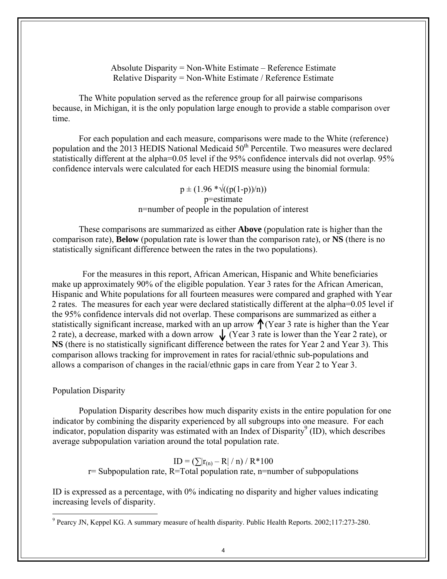Absolute Disparity = Non-White Estimate – Reference Estimate Relative Disparity = Non-White Estimate / Reference Estimate

The White population served as the reference group for all pairwise comparisons because, in Michigan, it is the only population large enough to provide a stable comparison over time.

For each population and each measure, comparisons were made to the White (reference) population and the 2013 HEDIS National Medicaid 50<sup>th</sup> Percentile. Two measures were declared statistically different at the alpha=0.05 level if the 95% confidence intervals did not overlap. 95% confidence intervals were calculated for each HEDIS measure using the binomial formula:

> $p \pm (1.96 \sqrt[*]{((p(1-p))/n)})$ p=estimate n=number of people in the population of interest

These comparisons are summarized as either **Above** (population rate is higher than the comparison rate), **Below** (population rate is lower than the comparison rate), or **NS** (there is no statistically significant difference between the rates in the two populations).

 For the measures in this report, African American, Hispanic and White beneficiaries make up approximately 90% of the eligible population. Year 3 rates for the African American, Hispanic and White populations for all fourteen measures were compared and graphed with Year 2 rates. The measures for each year were declared statistically different at the alpha=0.05 level if the 95% confidence intervals did not overlap. These comparisons are summarized as either a statistically significant increase, marked with an up arrow  $\bigwedge$  (Year 3 rate is higher than the Year 2 rate), a decrease, marked with a down arrow  $\int (Year 3$  rate is lower than the Year 2 rate), or **NS** (there is no statistically significant difference between the rates for Year 2 and Year 3). This comparison allows tracking for improvement in rates for racial/ethnic sub-populations and allows a comparison of changes in the racial/ethnic gaps in care from Year 2 to Year 3.

### Population Disparity

Population Disparity describes how much disparity exists in the entire population for one indicator by combining the disparity experienced by all subgroups into one measure. For each indicator, population disparity was estimated with an Index of Disparity<sup>9</sup> (ID), which describes average subpopulation variation around the total population rate.

 $ID = (\sum |r_{(n)} - R| / n) / R * 100$ r= Subpopulation rate, R=Total population rate, n=number of subpopulations

ID is expressed as a percentage, with 0% indicating no disparity and higher values indicating increasing levels of disparity.

<sup>&</sup>lt;sup>9</sup> Pearcy JN, Keppel KG. A summary measure of health disparity. Public Health Reports. 2002;117:273-280.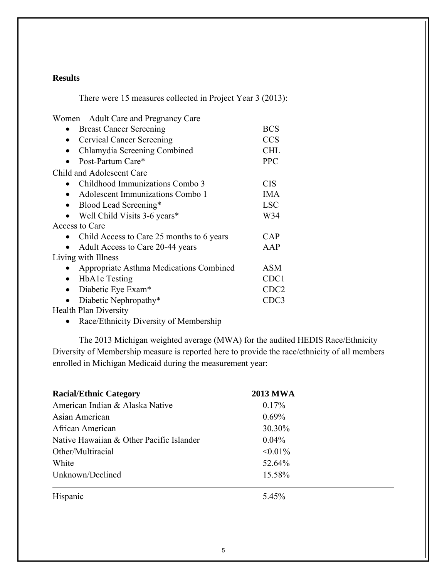### **Results**

There were 15 measures collected in Project Year 3 (2013):

Women – Adult Care and Pregnancy Care

| <b>Breast Cancer Screening</b>                | <b>BCS</b>       |
|-----------------------------------------------|------------------|
| <b>Cervical Cancer Screening</b><br>$\bullet$ | <b>CCS</b>       |
| Chlamydia Screening Combined<br>$\bullet$     | <b>CHL</b>       |
| Post-Partum Care*                             | <b>PPC</b>       |
| <b>Child and Adolescent Care</b>              |                  |
| Childhood Immunizations Combo 3<br>$\bullet$  | <b>CIS</b>       |
| Adolescent Immunizations Combo 1              | <b>IMA</b>       |
| Blood Lead Screening*                         | <b>LSC</b>       |
| Well Child Visits 3-6 years*                  | W34              |
| Access to Care                                |                  |
| Child Access to Care 25 months to 6 years     | <b>CAP</b>       |
| Adult Access to Care 20-44 years              | AAP              |
| Living with Illness                           |                  |
| Appropriate Asthma Medications Combined       | <b>ASM</b>       |
| <b>HbA1c</b> Testing                          | CDC1             |
| Diabetic Eye Exam*                            | CDC <sub>2</sub> |
| Diabetic Nephropathy*                         | CDC3             |
| <b>Health Plan Diversity</b>                  |                  |

Race/Ethnicity Diversity of Membership

The 2013 Michigan weighted average (MWA) for the audited HEDIS Race/Ethnicity Diversity of Membership measure is reported here to provide the race/ethnicity of all members enrolled in Michigan Medicaid during the measurement year:

| <b>Racial/Ethnic Category</b>            | <b>2013 MWA</b> |  |
|------------------------------------------|-----------------|--|
| American Indian & Alaska Native          | $0.17\%$        |  |
| Asian American                           | $0.69\%$        |  |
| African American                         | 30.30%          |  |
| Native Hawaiian & Other Pacific Islander | $0.04\%$        |  |
| Other/Multiracial                        | $< 0.01\%$      |  |
| White                                    | 52.64%          |  |
| Unknown/Declined                         | 15.58%          |  |
| Hispanic                                 | 5.45%           |  |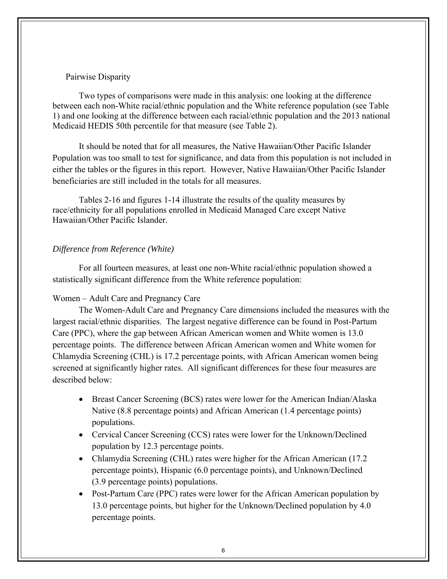### Pairwise Disparity

Two types of comparisons were made in this analysis: one looking at the difference between each non-White racial/ethnic population and the White reference population (see Table 1) and one looking at the difference between each racial/ethnic population and the 2013 national Medicaid HEDIS 50th percentile for that measure (see Table 2).

It should be noted that for all measures, the Native Hawaiian/Other Pacific Islander Population was too small to test for significance, and data from this population is not included in either the tables or the figures in this report. However, Native Hawaiian/Other Pacific Islander beneficiaries are still included in the totals for all measures.

Tables 2-16 and figures 1-14 illustrate the results of the quality measures by race/ethnicity for all populations enrolled in Medicaid Managed Care except Native Hawaiian/Other Pacific Islander.

### *Difference from Reference (White)*

For all fourteen measures, at least one non-White racial/ethnic population showed a statistically significant difference from the White reference population:

### Women – Adult Care and Pregnancy Care

The Women-Adult Care and Pregnancy Care dimensions included the measures with the largest racial/ethnic disparities. The largest negative difference can be found in Post-Partum Care (PPC), where the gap between African American women and White women is 13.0 percentage points. The difference between African American women and White women for Chlamydia Screening (CHL) is 17.2 percentage points, with African American women being screened at significantly higher rates. All significant differences for these four measures are described below:

- Breast Cancer Screening (BCS) rates were lower for the American Indian/Alaska Native (8.8 percentage points) and African American (1.4 percentage points) populations.
- Cervical Cancer Screening (CCS) rates were lower for the Unknown/Declined population by 12.3 percentage points.
- Chlamydia Screening (CHL) rates were higher for the African American (17.2 percentage points), Hispanic (6.0 percentage points), and Unknown/Declined (3.9 percentage points) populations.
- Post-Partum Care (PPC) rates were lower for the African American population by 13.0 percentage points, but higher for the Unknown/Declined population by 4.0 percentage points.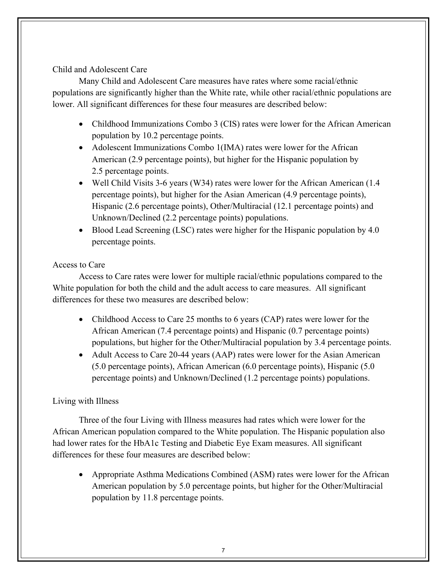### Child and Adolescent Care

Many Child and Adolescent Care measures have rates where some racial/ethnic populations are significantly higher than the White rate, while other racial/ethnic populations are lower. All significant differences for these four measures are described below:

- Childhood Immunizations Combo 3 (CIS) rates were lower for the African American population by 10.2 percentage points.
- Adolescent Immunizations Combo 1(IMA) rates were lower for the African American (2.9 percentage points), but higher for the Hispanic population by 2.5 percentage points.
- Well Child Visits 3-6 years (W34) rates were lower for the African American (1.4 percentage points), but higher for the Asian American (4.9 percentage points), Hispanic (2.6 percentage points), Other/Multiracial (12.1 percentage points) and Unknown/Declined (2.2 percentage points) populations.
- Blood Lead Screening (LSC) rates were higher for the Hispanic population by 4.0 percentage points.

### Access to Care

Access to Care rates were lower for multiple racial/ethnic populations compared to the White population for both the child and the adult access to care measures. All significant differences for these two measures are described below:

- Childhood Access to Care 25 months to 6 years (CAP) rates were lower for the African American (7.4 percentage points) and Hispanic (0.7 percentage points) populations, but higher for the Other/Multiracial population by 3.4 percentage points.
- Adult Access to Care 20-44 years (AAP) rates were lower for the Asian American (5.0 percentage points), African American (6.0 percentage points), Hispanic (5.0 percentage points) and Unknown/Declined (1.2 percentage points) populations.

### Living with Illness

Three of the four Living with Illness measures had rates which were lower for the African American population compared to the White population. The Hispanic population also had lower rates for the HbA1c Testing and Diabetic Eye Exam measures. All significant differences for these four measures are described below:

 Appropriate Asthma Medications Combined (ASM) rates were lower for the African American population by 5.0 percentage points, but higher for the Other/Multiracial population by 11.8 percentage points.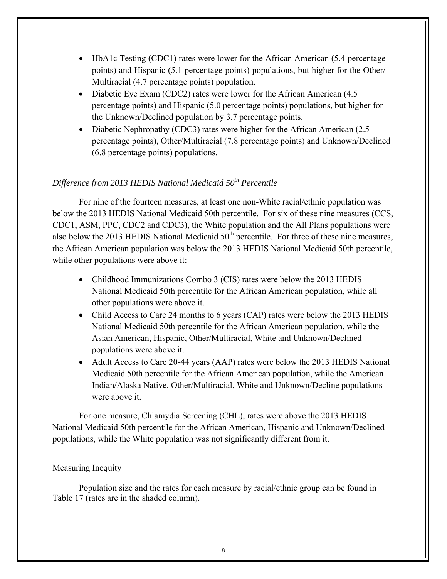- HbA1c Testing (CDC1) rates were lower for the African American (5.4 percentage points) and Hispanic (5.1 percentage points) populations, but higher for the Other/ Multiracial (4.7 percentage points) population.
- Diabetic Eye Exam (CDC2) rates were lower for the African American (4.5) percentage points) and Hispanic (5.0 percentage points) populations, but higher for the Unknown/Declined population by 3.7 percentage points.
- Diabetic Nephropathy (CDC3) rates were higher for the African American (2.5 percentage points), Other/Multiracial (7.8 percentage points) and Unknown/Declined (6.8 percentage points) populations.

### *Difference from 2013 HEDIS National Medicaid 50<sup>th</sup> Percentile*

For nine of the fourteen measures, at least one non-White racial/ethnic population was below the 2013 HEDIS National Medicaid 50th percentile. For six of these nine measures (CCS, CDC1, ASM, PPC, CDC2 and CDC3), the White population and the All Plans populations were also below the 2013 HEDIS National Medicaid  $50<sup>th</sup>$  percentile. For three of these nine measures, the African American population was below the 2013 HEDIS National Medicaid 50th percentile, while other populations were above it:

- Childhood Immunizations Combo 3 (CIS) rates were below the 2013 HEDIS National Medicaid 50th percentile for the African American population, while all other populations were above it.
- Child Access to Care 24 months to 6 years (CAP) rates were below the 2013 HEDIS National Medicaid 50th percentile for the African American population, while the Asian American, Hispanic, Other/Multiracial, White and Unknown/Declined populations were above it.
- Adult Access to Care 20-44 years (AAP) rates were below the 2013 HEDIS National Medicaid 50th percentile for the African American population, while the American Indian/Alaska Native, Other/Multiracial, White and Unknown/Decline populations were above it.

For one measure, Chlamydia Screening (CHL), rates were above the 2013 HEDIS National Medicaid 50th percentile for the African American, Hispanic and Unknown/Declined populations, while the White population was not significantly different from it.

### Measuring Inequity

Population size and the rates for each measure by racial/ethnic group can be found in Table 17 (rates are in the shaded column).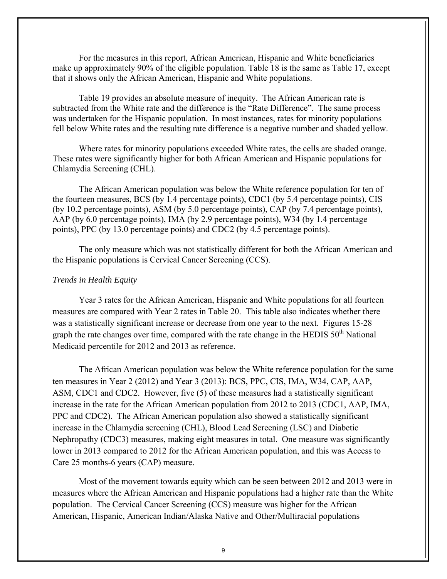For the measures in this report, African American, Hispanic and White beneficiaries make up approximately 90% of the eligible population. Table 18 is the same as Table 17, except that it shows only the African American, Hispanic and White populations.

Table 19 provides an absolute measure of inequity. The African American rate is subtracted from the White rate and the difference is the "Rate Difference". The same process was undertaken for the Hispanic population. In most instances, rates for minority populations fell below White rates and the resulting rate difference is a negative number and shaded yellow.

Where rates for minority populations exceeded White rates, the cells are shaded orange. These rates were significantly higher for both African American and Hispanic populations for Chlamydia Screening (CHL).

The African American population was below the White reference population for ten of the fourteen measures, BCS (by 1.4 percentage points), CDC1 (by 5.4 percentage points), CIS (by 10.2 percentage points), ASM (by 5.0 percentage points), CAP (by 7.4 percentage points), AAP (by 6.0 percentage points), IMA (by 2.9 percentage points), W34 (by 1.4 percentage points), PPC (by 13.0 percentage points) and CDC2 (by 4.5 percentage points).

The only measure which was not statistically different for both the African American and the Hispanic populations is Cervical Cancer Screening (CCS).

### *Trends in Health Equity*

Year 3 rates for the African American, Hispanic and White populations for all fourteen measures are compared with Year 2 rates in Table 20. This table also indicates whether there was a statistically significant increase or decrease from one year to the next. Figures 15-28 graph the rate changes over time, compared with the rate change in the HEDIS  $50<sup>th</sup>$  National Medicaid percentile for 2012 and 2013 as reference.

The African American population was below the White reference population for the same ten measures in Year 2 (2012) and Year 3 (2013): BCS, PPC, CIS, IMA, W34, CAP, AAP, ASM, CDC1 and CDC2. However, five (5) of these measures had a statistically significant increase in the rate for the African American population from 2012 to 2013 (CDC1, AAP, IMA, PPC and CDC2). The African American population also showed a statistically significant increase in the Chlamydia screening (CHL), Blood Lead Screening (LSC) and Diabetic Nephropathy (CDC3) measures, making eight measures in total. One measure was significantly lower in 2013 compared to 2012 for the African American population, and this was Access to Care 25 months-6 years (CAP) measure.

Most of the movement towards equity which can be seen between 2012 and 2013 were in measures where the African American and Hispanic populations had a higher rate than the White population. The Cervical Cancer Screening (CCS) measure was higher for the African American, Hispanic, American Indian/Alaska Native and Other/Multiracial populations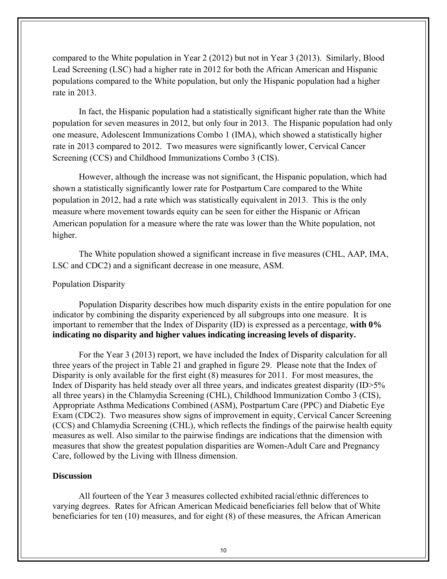compared to the White population in Year 2 (2012) but not in Year 3 (2013). Similarly, Blood Lead Screening (LSC) had a higher rate in 2012 for both the African American and Hispanic populations compared to the White population, but only the Hispanic population had a higher rate in 2013.

In fact, the Hispanic population had a statistically significant higher rate than the White population for seven measures in 2012, but only four in 2013. The Hispanic population had only one measure, Adolescent Immunizations Combo 1 (IMA), which showed a statistically higher rate in 2013 compared to 2012. Two measures were significantly lower, Cervical Cancer Screening (CCS) and Childhood Immunizations Combo 3 (CIS).

However, although the increase was not significant, the Hispanic population, which had shown a statistically significantly lower rate for Postpartum Care compared to the White population in 2012, had a rate which was statistically equivalent in 2013. This is the only measure where movement towards equity can be seen for either the Hispanic or African American population for a measure where the rate was lower than the White population, not higher.

The White population showed a significant increase in five measures (CHL, AAP, IMA, LSC and CDC2) and a significant decrease in one measure, ASM.

### Population Disparity

Population Disparity describes how much disparity exists in the entire population for one indicator by combining the disparity experienced by all subgroups into one measure. It is important to remember that the Index of Disparity (ID) is expressed as a percentage, **with 0% indicating no disparity and higher values indicating increasing levels of disparity.** 

For the Year 3 (2013) report, we have included the Index of Disparity calculation for all three years of the project in Table 21 and graphed in figure 29. Please note that the Index of Disparity is only available for the first eight (8) measures for 2011. For most measures, the Index of Disparity has held steady over all three years, and indicates greatest disparity (ID>5% all three years) in the Chlamydia Screening (CHL), Childhood Immunization Combo 3 (CIS), Appropriate Asthma Medications Combined (ASM), Postpartum Care (PPC) and Diabetic Eye Exam (CDC2). Two measures show signs of improvement in equity, Cervical Cancer Screening (CCS) and Chlamydia Screening (CHL), which reflects the findings of the pairwise health equity measures as well. Also similar to the pairwise findings are indications that the dimension with measures that show the greatest population disparities are Women-Adult Care and Pregnancy Care, followed by the Living with Illness dimension.

### **Discussion**

All fourteen of the Year 3 measures collected exhibited racial/ethnic differences to varying degrees. Rates for African American Medicaid beneficiaries fell below that of White beneficiaries for ten (10) measures, and for eight (8) of these measures, the African American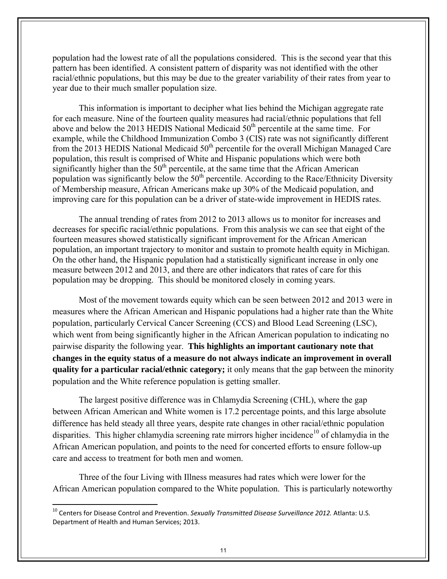population had the lowest rate of all the populations considered. This is the second year that this pattern has been identified. A consistent pattern of disparity was not identified with the other racial/ethnic populations, but this may be due to the greater variability of their rates from year to year due to their much smaller population size.

This information is important to decipher what lies behind the Michigan aggregate rate for each measure. Nine of the fourteen quality measures had racial/ethnic populations that fell above and below the 2013 HEDIS National Medicaid  $50<sup>th</sup>$  percentile at the same time. For example, while the Childhood Immunization Combo 3 (CIS) rate was not significantly different from the 2013 HEDIS National Medicaid  $50<sup>th</sup>$  percentile for the overall Michigan Managed Care population, this result is comprised of White and Hispanic populations which were both significantly higher than the  $50<sup>th</sup>$  percentile, at the same time that the African American population was significantly below the  $50<sup>th</sup>$  percentile. According to the Race/Ethnicity Diversity of Membership measure, African Americans make up 30% of the Medicaid population, and improving care for this population can be a driver of state-wide improvement in HEDIS rates.

The annual trending of rates from 2012 to 2013 allows us to monitor for increases and decreases for specific racial/ethnic populations. From this analysis we can see that eight of the fourteen measures showed statistically significant improvement for the African American population, an important trajectory to monitor and sustain to promote health equity in Michigan. On the other hand, the Hispanic population had a statistically significant increase in only one measure between 2012 and 2013, and there are other indicators that rates of care for this population may be dropping. This should be monitored closely in coming years.

Most of the movement towards equity which can be seen between 2012 and 2013 were in measures where the African American and Hispanic populations had a higher rate than the White population, particularly Cervical Cancer Screening (CCS) and Blood Lead Screening (LSC), which went from being significantly higher in the African American population to indicating no pairwise disparity the following year. **This highlights an important cautionary note that changes in the equity status of a measure do not always indicate an improvement in overall quality for a particular racial/ethnic category;** it only means that the gap between the minority population and the White reference population is getting smaller.

The largest positive difference was in Chlamydia Screening (CHL), where the gap between African American and White women is 17.2 percentage points, and this large absolute difference has held steady all three years, despite rate changes in other racial/ethnic population disparities. This higher chlamydia screening rate mirrors higher incidence<sup>10</sup> of chlamydia in the African American population, and points to the need for concerted efforts to ensure follow-up care and access to treatment for both men and women.

Three of the four Living with Illness measures had rates which were lower for the African American population compared to the White population. This is particularly noteworthy

<sup>10</sup> Centers for Disease Control and Prevention. *Sexually Transmitted Disease Surveillance 2012.* Atlanta: U.S. Department of Health and Human Services; 2013.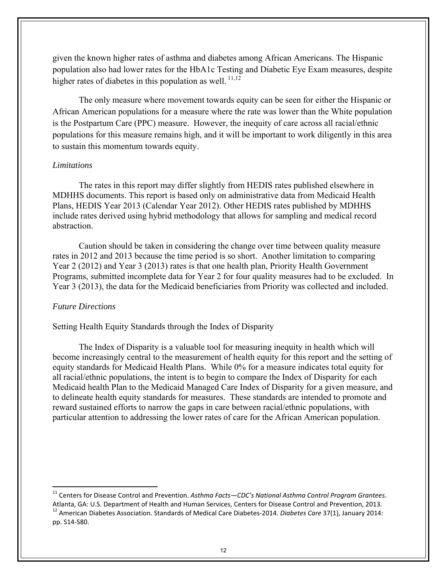given the known higher rates of asthma and diabetes among African Americans. The Hispanic population also had lower rates for the HbA1c Testing and Diabetic Eye Exam measures, despite higher rates of diabetes in this population as well.  $\frac{11,12}{2}$ 

The only measure where movement towards equity can be seen for either the Hispanic or African American populations for a measure where the rate was lower than the White population is the Postpartum Care (PPC) measure. However, the inequity of care across all racial/ethnic populations for this measure remains high, and it will be important to work diligently in this area to sustain this momentum towards equity.

### *Limitations*

The rates in this report may differ slightly from HEDIS rates published elsewhere in MDHHS documents. This report is based only on administrative data from Medicaid Health Plans, HEDIS Year 2013 (Calendar Year 2012). Other HEDIS rates published by MDHHS include rates derived using hybrid methodology that allows for sampling and medical record abstraction.

Caution should be taken in considering the change over time between quality measure rates in 2012 and 2013 because the time period is so short. Another limitation to comparing Year 2 (2012) and Year 3 (2013) rates is that one health plan, Priority Health Government Programs, submitted incomplete data for Year 2 for four quality measures had to be excluded. In Year 3 (2013), the data for the Medicaid beneficiaries from Priority was collected and included.

### *Future Directions*

Setting Health Equity Standards through the Index of Disparity

The Index of Disparity is a valuable tool for measuring inequity in health which will become increasingly central to the measurement of health equity for this report and the setting of equity standards for Medicaid Health Plans. While 0% for a measure indicates total equity for all racial/ethnic populations, the intent is to begin to compare the Index of Disparity for each Medicaid health Plan to the Medicaid Managed Care Index of Disparity for a given measure, and to delineate health equity standards for measures. These standards are intended to promote and reward sustained efforts to narrow the gaps in care between racial/ethnic populations, with particular attention to addressing the lower rates of care for the African American population.

<sup>11</sup> Centers for Disease Control and Prevention. *Asthma Facts—CDC's National Asthma Control Program Grantees*. Atlanta, GA: U.S. Department of Health and Human Services, Centers for Disease Control and Prevention, 2013.<br><sup>12</sup> American Diabetes Association. Standards of Medical Care Diabetes-2014. *Diabetes Care* 37(1), January 2014: pp. S14‐S80.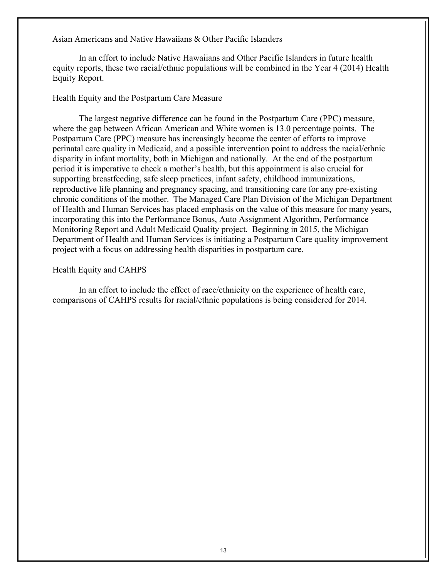Asian Americans and Native Hawaiians & Other Pacific Islanders

In an effort to include Native Hawaiians and Other Pacific Islanders in future health equity reports, these two racial/ethnic populations will be combined in the Year 4 (2014) Health Equity Report.

### Health Equity and the Postpartum Care Measure

The largest negative difference can be found in the Postpartum Care (PPC) measure, where the gap between African American and White women is 13.0 percentage points. The Postpartum Care (PPC) measure has increasingly become the center of efforts to improve perinatal care quality in Medicaid, and a possible intervention point to address the racial/ethnic disparity in infant mortality, both in Michigan and nationally. At the end of the postpartum period it is imperative to check a mother's health, but this appointment is also crucial for supporting breastfeeding, safe sleep practices, infant safety, childhood immunizations, reproductive life planning and pregnancy spacing, and transitioning care for any pre-existing chronic conditions of the mother. The Managed Care Plan Division of the Michigan Department of Health and Human Services has placed emphasis on the value of this measure for many years, incorporating this into the Performance Bonus, Auto Assignment Algorithm, Performance Monitoring Report and Adult Medicaid Quality project. Beginning in 2015, the Michigan Department of Health and Human Services is initiating a Postpartum Care quality improvement project with a focus on addressing health disparities in postpartum care.

### Health Equity and CAHPS

In an effort to include the effect of race/ethnicity on the experience of health care, comparisons of CAHPS results for racial/ethnic populations is being considered for 2014.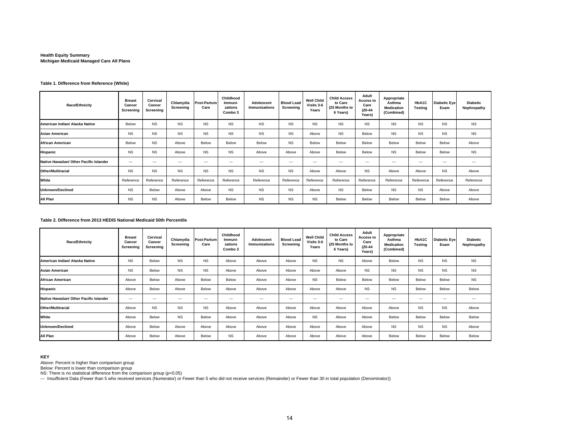### **Health Equity Summary Michigan Medicaid Managed Care All Plans**

#### **Table 1. Difference from Reference (White)**

| <b>Race/Ethnicity</b>                   | <b>Breast</b><br>Cancer<br>Screening | Cervical<br>Cancer<br>Screening | Chlamydia<br>Screening | Post-Partum<br>Care      | Childhood<br>Immuni-<br>zations<br>Combo 3 | <b>Adolescent</b><br><b>Immunizations</b> | <b>Blood Lead</b><br>Screening | <b>Well Child</b><br>Visits 3-6<br>Years | <b>Child Access</b><br>to Care<br>(25 Months to<br>6 Years) | Adult<br>Access to<br>Care<br>$(20 - 44)$<br><b>Years</b> ) | Appropriate<br>Asthma<br><b>Medication</b><br>(Combined) | HbA1C<br>Testina | <b>Diabetic Eye</b><br>Exam | <b>Diabetic</b><br>Nephropathy |
|-----------------------------------------|--------------------------------------|---------------------------------|------------------------|--------------------------|--------------------------------------------|-------------------------------------------|--------------------------------|------------------------------------------|-------------------------------------------------------------|-------------------------------------------------------------|----------------------------------------------------------|------------------|-----------------------------|--------------------------------|
| American Indian/ Alaska Native          | Below                                | <b>NS</b>                       | <b>NS</b>              | <b>NS</b>                | <b>NS</b>                                  | <b>NS</b>                                 | <b>NS</b>                      | <b>NS</b>                                | <b>NS</b>                                                   | <b>NS</b>                                                   | <b>NS</b>                                                | <b>NS</b>        | <b>NS</b>                   | <b>NS</b>                      |
| <b>Asian American</b>                   | <b>NS</b>                            | <b>NS</b>                       | <b>NS</b>              | <b>NS</b>                | <b>NS</b>                                  | <b>NS</b>                                 | <b>NS</b>                      | Above                                    | <b>NS</b>                                                   | Below                                                       | <b>NS</b>                                                | <b>NS</b>        | <b>NS</b>                   | <b>NS</b>                      |
| <b>African American</b>                 | Below                                | <b>NS</b>                       | Above                  | Below                    | Below                                      | Below                                     | <b>NS</b>                      | Below                                    | Below                                                       | Below                                                       | Below                                                    | Below            | Below                       | Above                          |
| <b>Hispanic</b>                         | <b>NS</b>                            | <b>NS</b>                       | Above                  | <b>NS</b>                | <b>NS</b>                                  | Above                                     | Above                          | Above                                    | Below                                                       | Below                                                       | <b>NS</b>                                                | Below            | Below                       | <b>NS</b>                      |
| Native Hawaiian/ Other Pacific Islander | $- - -$                              | $---$                           | $---$                  | $\overline{\phantom{a}}$ | $\cdots$                                   | $\overline{\phantom{a}}$                  | $\overline{\phantom{a}}$       | $- - -$                                  | $---$                                                       | $---$                                                       | $\hspace{0.05cm} \ldots$                                 | $---$            | $\overline{\phantom{a}}$    | $\overline{\phantom{a}}$       |
| <b>Other/Multiracial</b>                | <b>NS</b>                            | <b>NS</b>                       | <b>NS</b>              | <b>NS</b>                | <b>NS</b>                                  | <b>NS</b>                                 | <b>NS</b>                      | Above                                    | Above                                                       | <b>NS</b>                                                   | Above                                                    | Above            | <b>NS</b>                   | Above                          |
| White                                   | Reference                            | Reference                       | Reference              | Reference                | Reference                                  | Reference                                 | Reference                      | Reference                                | Reference                                                   | Reference                                                   | Reference                                                | Reference        | Reference                   | Reference                      |
| <b>Unknown/Declined</b>                 | <b>NS</b>                            | Below                           | Above                  | Above                    | <b>NS</b>                                  | <b>NS</b>                                 | <b>NS</b>                      | Above                                    | <b>NS</b>                                                   | Below                                                       | <b>NS</b>                                                | <b>NS</b>        | Above                       | Above                          |
| All Plan                                | <b>NS</b>                            | <b>NS</b>                       | Above                  | Below                    | Below                                      | <b>NS</b>                                 | <b>NS</b>                      | <b>NS</b>                                | Below                                                       | Below                                                       | Below                                                    | Below            | Below                       | Above                          |

#### **Table 2. Difference from 2013 HEDIS National Medicaid 50th Percentile**

| <b>Race/Ethnicity</b>                   | <b>Breast</b><br>Cancer<br>Screening | Cervical<br>Cancer<br>Screening | Chlamydia<br>Screening   | Post-Partum<br>Care      | Childhood<br>Immuni-<br>zations<br>Combo 3 | Adolescent<br><b>Immunizations</b> | <b>Blood Lead</b><br>Screening | <b>Well Child</b><br>Visits 3-6<br>Years | <b>Child Access</b><br>to Care<br>(25 Months to<br>6 Years) | Adult<br>Access to<br>Care<br>$(20-44)$<br>Years) | Appropriate<br>Asthma<br><b>Medication</b><br>(Combined) | HbA1C<br><b>Testing</b>  | <b>Diabetic Eye</b><br>Exam | <b>Diabetic</b><br>Nephropathy |
|-----------------------------------------|--------------------------------------|---------------------------------|--------------------------|--------------------------|--------------------------------------------|------------------------------------|--------------------------------|------------------------------------------|-------------------------------------------------------------|---------------------------------------------------|----------------------------------------------------------|--------------------------|-----------------------------|--------------------------------|
| American Indian/ Alaska Native          | NS.                                  | Below                           | <b>NS</b>                | <b>NS</b>                | Above                                      | Above                              | Above                          | <b>NS</b>                                | <b>NS</b>                                                   | Above                                             | Below                                                    | <b>NS</b>                | <b>NS</b>                   | <b>NS</b>                      |
| <b>Asian American</b>                   | NS.                                  | Below                           | <b>NS</b>                | <b>NS</b>                | Above                                      | Above                              | Above                          | Above                                    | Above                                                       | <b>NS</b>                                         | <b>NS</b>                                                | <b>NS</b>                | <b>NS</b>                   | <b>NS</b>                      |
| <b>African American</b>                 | Above                                | Below                           | Above                    | Below                    | Below                                      | Above                              | Above                          | <b>NS</b>                                | Below                                                       | Below                                             | Below                                                    | Below                    | Below                       | <b>NS</b>                      |
| Hispanic                                | Above                                | Below                           | Above                    | Below                    | Above                                      | Above                              | Above                          | Above                                    | Above                                                       | <b>NS</b>                                         | <b>NS</b>                                                | Below                    | Below                       | Below                          |
| Native Hawaiian/ Other Pacific Islander | $\cdots$                             | $---$                           | $\overline{\phantom{a}}$ | $\hspace{0.05cm} \ldots$ | $\sim$                                     | $\hspace{0.05cm} \ldots$           | $\cdots$                       | $---$                                    | $---$                                                       | $---$                                             | $\overline{\phantom{a}}$                                 | $\hspace{0.05cm} \ldots$ | $\overline{\phantom{a}}$    | $\overline{\phantom{a}}$       |
| <b>Other/Multiracial</b>                | Above                                | <b>NS</b>                       | <b>NS</b>                | <b>NS</b>                | Above                                      | Above                              | Above                          | Above                                    | Above                                                       | Above                                             | Above                                                    | <b>NS</b>                | <b>NS</b>                   | Above                          |
| White                                   | Above                                | Below                           | <b>NS</b>                | Below                    | Above                                      | Above                              | Above                          | <b>NS</b>                                | Above                                                       | Above                                             | Below                                                    | Below                    | Below                       | Below                          |
| <b>Unknown/Declined</b>                 | Above                                | Below                           | Above                    | Above                    | Above                                      | Above                              | Above                          | Above                                    | Above                                                       | Above                                             | <b>NS</b>                                                | <b>NS</b>                | <b>NS</b>                   | Above                          |
| All Plan                                | Above                                | Below                           | Above                    | Below                    | <b>NS</b>                                  | Above                              | Above                          | Above                                    | Above                                                       | Above                                             | Below                                                    | Below                    | Below                       | Below                          |

#### **KEY**

Above: Percent is higher than comparison group

Below: Percent is lower than comparison group

NS: There is no statistical difference from the comparison group (p<0.05)

--- Insufficient Data (Fewer than 5 who received services (Numerator) or Fewer than 5 who did not receive services (Remainder) or Fewer than 30 in total population (Denominator))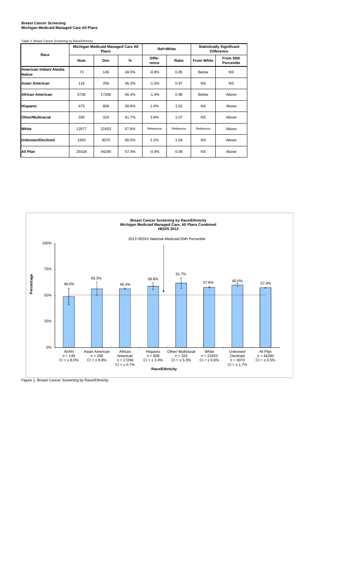#### **Breast Cancer Screening Michigan Medicaid Managed Care All Plans**

| Table 3. Breast Cancer Screening by Race/Ethnicity |  |
|----------------------------------------------------|--|

| Race                                     |            | Michigan Medicaid Managed Care All<br>Plans |       |                 | <b>Ref=White</b> | <b>Statistically Significant</b><br><b>Difference</b> |                         |  |
|------------------------------------------|------------|---------------------------------------------|-------|-----------------|------------------|-------------------------------------------------------|-------------------------|--|
|                                          | <b>Num</b> | Den                                         | %     | Diffe-<br>rence | Ratio            | <b>From White</b>                                     | From 50th<br>Percentile |  |
| American Indian/ Alaska<br><b>Native</b> | 73         | 149                                         | 49.0% | $-8.8%$         | 0.85             | <b>Below</b>                                          | <b>NS</b>               |  |
| <b>Asian American</b>                    | 116        | 206                                         | 56.3% | $-1.5%$         | 0.97             | <b>NS</b>                                             | <b>NS</b>               |  |
| <b>African American</b>                  | 9736       | 17266                                       | 56.4% | $-1.4%$         | 0.98             | <b>Below</b>                                          | Above                   |  |
| <b>Hispanic</b>                          | 475        | 808                                         | 58.8% | 1.0%            | 1.02             | <b>NS</b>                                             | Above                   |  |
| <b>Other/Multiracial</b>                 | 200        | 324                                         | 61.7% | 3.9%            | 1.07             | <b>NS</b>                                             | Above                   |  |
| White                                    | 12977      | 22453                                       | 57.8% | Reference       | Reference        | Reference                                             | Above                   |  |
| Unknown/Declined                         | 1843       | 3070                                        | 60.0% | 2.2%            | 1.04             | <b>NS</b>                                             | Above                   |  |
| All Plan                                 | 25428      | 44290                                       | 57.4% | $-0.4%$         | 0.99             | <b>NS</b>                                             | Above                   |  |



Figure 1. Breast Cancer Screening by Race/Ethnicity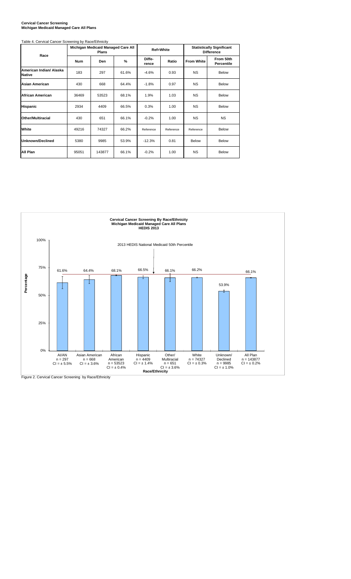#### **Cervical Cancer Screening Michigan Medicaid Managed Care All Plans**

| Table 4. Cervical Cancer Screening by Race/Ethnicity |            |                                             |       |                 |           |                                                       |                         |  |
|------------------------------------------------------|------------|---------------------------------------------|-------|-----------------|-----------|-------------------------------------------------------|-------------------------|--|
|                                                      |            | Michigan Medicaid Managed Care All<br>Plans |       |                 | Ref=White | <b>Statistically Significant</b><br><b>Difference</b> |                         |  |
| Race                                                 | <b>Num</b> | <b>Den</b>                                  | %     | Diffe-<br>rence | Ratio     | <b>From White</b>                                     | From 50th<br>Percentile |  |
| American Indian/ Alaska<br><b>Native</b>             | 183        | 297                                         | 61.6% | $-4.6%$         | 0.93      | <b>NS</b>                                             | Below                   |  |
| <b>Asian American</b>                                | 430        | 668                                         | 64.4% | $-1.8%$         | 0.97      | <b>NS</b>                                             | Below                   |  |
| <b>African American</b>                              | 36469      | 53523                                       | 68.1% | 1.9%            | 1.03      | <b>NS</b>                                             | Below                   |  |
| Hispanic                                             | 2934       | 4409                                        | 66.5% | 0.3%            | 1.00      | <b>NS</b>                                             | Below                   |  |
| <b>Other/Multiracial</b>                             | 430        | 651                                         | 66.1% | $-0.2%$         | 1.00      | <b>NS</b>                                             | <b>NS</b>               |  |
| White                                                | 49216      | 74327                                       | 66.2% | Reference       | Reference | Reference                                             | Below                   |  |
| <b>Unknown/Declined</b>                              | 5380       | 9985                                        | 53.9% | $-12.3%$        | 0.81      | Below                                                 | <b>Below</b>            |  |
| <b>All Plan</b>                                      | 95051      | 143877                                      | 66.1% | $-0.2%$         | 1.00      | <b>NS</b>                                             | <b>Below</b>            |  |



Figure 2. Cervical Cancer Screening by Race/Ethnicity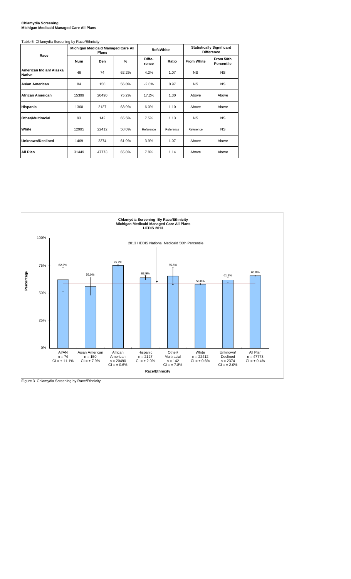#### **Chlamydia Screening Michigan Medicaid Managed Care All Plans**

| Table 5. Chlamydia Screening by Race/Ethnicity |            |                                             |       |                 |           |                                                       |                         |  |
|------------------------------------------------|------------|---------------------------------------------|-------|-----------------|-----------|-------------------------------------------------------|-------------------------|--|
| Race                                           |            | Michigan Medicaid Managed Care All<br>Plans |       |                 | Ref=White | <b>Statistically Significant</b><br><b>Difference</b> |                         |  |
|                                                | <b>Num</b> | Den                                         | %     | Diffe-<br>rence | Ratio     | <b>From White</b>                                     | From 50th<br>Percentile |  |
| American Indian/ Alaska<br><b>Native</b>       | 46         | 74                                          | 62.2% | 4.2%            | 1.07      | <b>NS</b>                                             | <b>NS</b>               |  |
| Asian American                                 | 84         | 150                                         | 56.0% | $-2.0%$         | 0.97      | <b>NS</b>                                             | <b>NS</b>               |  |
| <b>African American</b>                        | 15399      | 20490                                       | 75.2% | 17.2%           | 1.30      | Above                                                 | Above                   |  |
| <b>Hispanic</b>                                | 1360       | 2127                                        | 63.9% | 6.0%            | 1.10      | Above                                                 | Above                   |  |
| Other/Multiracial                              | 93         | 142                                         | 65.5% | 7.5%            | 1.13      | <b>NS</b>                                             | <b>NS</b>               |  |
| White                                          | 12995      | 22412                                       | 58.0% | Reference       | Reference | Reference                                             | <b>NS</b>               |  |
| Unknown/Declined                               | 1469       | 2374                                        | 61.9% | 3.9%            | 1.07      | Above                                                 | Above                   |  |
| All Plan                                       | 31449      | 47773                                       | 65.8% | 7.8%            | 1.14      | Above                                                 | Above                   |  |



Figure 3. Chlamydia Screening by Race/Ethnicity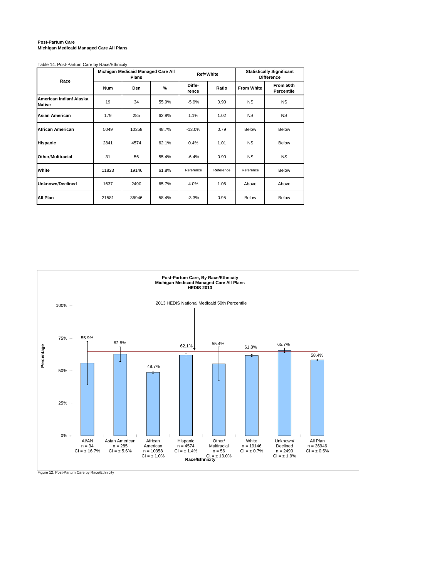#### **Post-Partum Care Michigan Medicaid Managed Care All Plans**

Table 14. Post-Partum Care by Race/Ethnicity

| Race                                     |            | Michigan Medicaid Managed Care All<br>Plans |       |                 | <b>Ref=White</b> | <b>Statistically Significant</b><br><b>Difference</b> |                         |  |
|------------------------------------------|------------|---------------------------------------------|-------|-----------------|------------------|-------------------------------------------------------|-------------------------|--|
|                                          | <b>Num</b> | Den                                         | %     | Diffe-<br>rence | Ratio            | <b>From White</b>                                     | From 50th<br>Percentile |  |
| American Indian/ Alaska<br><b>Native</b> | 19         | 34                                          | 55.9% | $-5.9%$         | 0.90             | <b>NS</b>                                             | <b>NS</b>               |  |
| Asian American                           | 179        | 285                                         | 62.8% | 1.1%            | 1.02             | <b>NS</b>                                             | <b>NS</b>               |  |
| African American                         | 5049       | 10358                                       | 48.7% | $-13.0%$        | 0.79             | Below                                                 | Below                   |  |
| <b>Hispanic</b>                          | 2841       | 4574                                        | 62.1% | 0.4%            | 1.01             | <b>NS</b>                                             | Below                   |  |
| Other/Multiracial                        | 31         | 56                                          | 55.4% | $-6.4%$         | 0.90             | <b>NS</b>                                             | <b>NS</b>               |  |
| White                                    | 11823      | 19146                                       | 61.8% | Reference       | Reference        | Reference                                             | Below                   |  |
| <b>Unknown/Declined</b>                  | 1637       | 2490                                        | 65.7% | 4.0%            | 1.06             | Above                                                 | Above                   |  |
| All Plan                                 | 21581      | 36946                                       | 58.4% | $-3.3%$         | 0.95             | Below                                                 | Below                   |  |



Figure 12. Post-Partum Care by Race/Ethnicity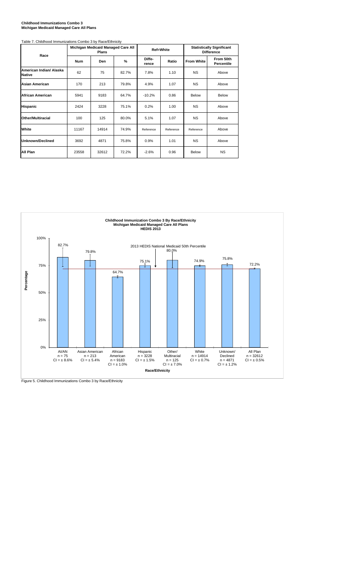#### **Childhood Immunizations Combo 3 Michigan Medicaid Managed Care All Plans**

| Table 7. Childhood Immunizations Combo 3 by Race/Ethnicity |            | Michigan Medicaid Managed Care All<br>Plans |       |                 | Ref=White | <b>Statistically Significant</b><br><b>Difference</b> |                         |  |
|------------------------------------------------------------|------------|---------------------------------------------|-------|-----------------|-----------|-------------------------------------------------------|-------------------------|--|
| Race                                                       | <b>Num</b> | Den                                         | %     | Diffe-<br>rence | Ratio     | <b>From White</b>                                     | From 50th<br>Percentile |  |
| American Indian/ Alaska<br><b>Native</b>                   | 62         | 75                                          | 82.7% | 7.8%            | 1.10      | <b>NS</b>                                             | Above                   |  |
| Asian American                                             | 170        | 213                                         | 79.8% | 4.9%            | 1.07      | <b>NS</b>                                             | Above                   |  |
| African American                                           | 5941       | 9183                                        | 64.7% | $-10.2%$        | 0.86      | Below                                                 | Below                   |  |
| <b>Hispanic</b>                                            | 2424       | 3228                                        | 75.1% | 0.2%            | 1.00      | <b>NS</b>                                             | Above                   |  |
| Other/Multiracial                                          | 100        | 125                                         | 80.0% | 5.1%            | 1.07      | <b>NS</b>                                             | Above                   |  |
| White                                                      | 11167      | 14914                                       | 74.9% | Reference       | Reference | Reference                                             | Above                   |  |
| Unknown/Declined                                           | 3692       | 4871                                        | 75.8% | 0.9%            | 1.01      | <b>NS</b>                                             | Above                   |  |
| All Plan                                                   | 23558      | 32612                                       | 72.2% | $-2.6%$         | 0.96      | Below                                                 | <b>NS</b>               |  |



Figure 5. Childhood Immunizations Combo 3 by Race/Ethnicity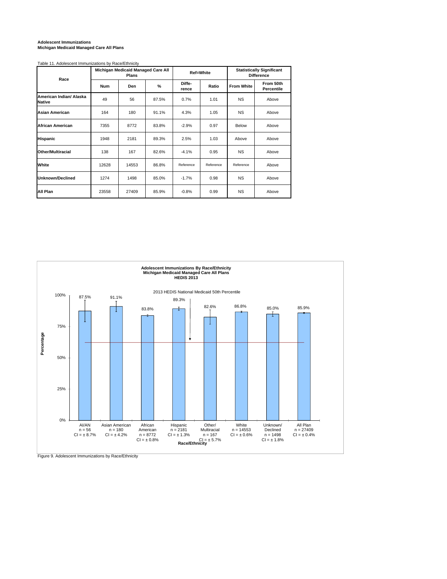### **Adolescent Immunizations Michigan Medicaid Managed Care All Plans**

#### Table 11. Adolescent Immunizations by Race/Ethnicity

| Race                                     |            | Michigan Medicaid Managed Care All<br><b>Plans</b> |       |                 | Ref=White | <b>Statistically Significant</b><br><b>Difference</b> |                         |  |
|------------------------------------------|------------|----------------------------------------------------|-------|-----------------|-----------|-------------------------------------------------------|-------------------------|--|
|                                          | <b>Num</b> | Den                                                | %     | Diffe-<br>rence | Ratio     | <b>From White</b>                                     | From 50th<br>Percentile |  |
| American Indian/ Alaska<br><b>Native</b> | 49         | 56                                                 | 87.5% | 0.7%            | 1.01      | <b>NS</b>                                             | Above                   |  |
| <b>Asian American</b>                    | 164        | 180                                                | 91.1% | 4.3%            | 1.05      | <b>NS</b>                                             | Above                   |  |
| <b>African American</b>                  | 7355       | 8772                                               | 83.8% | $-2.9%$         | 0.97      | Below                                                 | Above                   |  |
| <b>Hispanic</b>                          | 1948       | 2181                                               | 89.3% | 2.5%            | 1.03      | Above                                                 | Above                   |  |
| <b>Other/Multiracial</b>                 | 138        | 167                                                | 82.6% | $-4.1%$         | 0.95      | <b>NS</b>                                             | Above                   |  |
| White                                    | 12628      | 14553                                              | 86.8% | Reference       | Reference | Reference                                             | Above                   |  |
| <b>Unknown/Declined</b>                  | 1274       | 1498                                               | 85.0% | $-1.7%$         | 0.98      | <b>NS</b>                                             | Above                   |  |
| All Plan                                 | 23558      | 27409                                              | 85.9% | $-0.8%$         | 0.99      | <b>NS</b>                                             | Above                   |  |



Figure 9. Adolescent Immunizations by Race/Ethnicity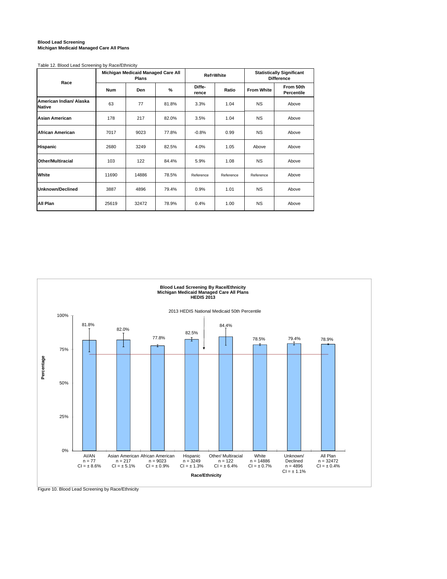#### **Blood Lead Screening Michigan Medicaid Managed Care All Plans**

#### Table 12. Blood Lead Screening by Race/Ethnicity

| Race                                     |            | Michigan Medicaid Managed Care All<br><b>Plans</b> |       |                 | Ref=White | <b>Statistically Significant</b><br><b>Difference</b> |                         |  |  |
|------------------------------------------|------------|----------------------------------------------------|-------|-----------------|-----------|-------------------------------------------------------|-------------------------|--|--|
|                                          | <b>Num</b> | Den                                                | %     | Diffe-<br>rence | Ratio     | <b>From White</b>                                     | From 50th<br>Percentile |  |  |
| American Indian/ Alaska<br><b>Native</b> | 63         | 77                                                 | 81.8% | 3.3%            | 1.04      | <b>NS</b>                                             | Above                   |  |  |
| Asian American                           | 178        | 217                                                | 82.0% | 3.5%            | 1.04      | <b>NS</b>                                             | Above                   |  |  |
| African American                         | 7017       | 9023                                               | 77.8% | $-0.8%$         | 0.99      | <b>NS</b>                                             | Above                   |  |  |
| <b>Hispanic</b>                          | 2680       | 3249                                               | 82.5% | 4.0%            | 1.05      | Above                                                 | Above                   |  |  |
| Other/Multiracial                        | 103        | 122                                                | 84.4% | 5.9%            | 1.08      | <b>NS</b>                                             | Above                   |  |  |
| White                                    | 11690      | 14886                                              | 78.5% | Reference       | Reference | Reference                                             | Above                   |  |  |
| Unknown/Declined                         | 3887       | 4896                                               | 79.4% | 0.9%            | 1.01      | <b>NS</b>                                             | Above                   |  |  |
| All Plan                                 | 25619      | 32472                                              | 78.9% | 0.4%            | 1.00      | <b>NS</b>                                             | Above                   |  |  |



Figure 10. Blood Lead Screening by Race/Ethnicity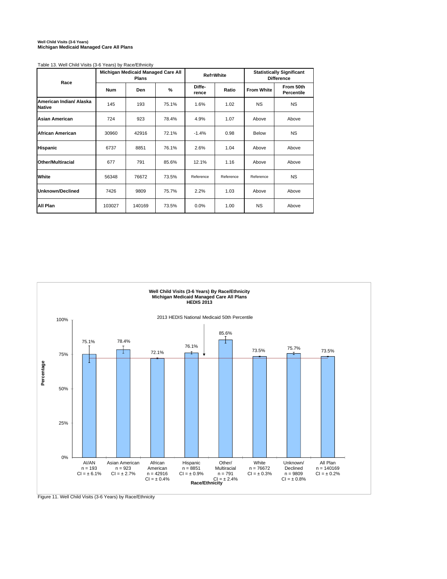## **Well Child Visits (3-6 Years) Michigan Medicaid Managed Care All Plans**

| Race                                     |            | Michigan Medicaid Managed Care All<br><b>Plans</b> |       |                 | Ref=White | <b>Statistically Significant</b><br><b>Difference</b> |                         |  |  |
|------------------------------------------|------------|----------------------------------------------------|-------|-----------------|-----------|-------------------------------------------------------|-------------------------|--|--|
|                                          | <b>Num</b> | %<br>Den                                           |       | Diffe-<br>rence | Ratio     | <b>From White</b>                                     | From 50th<br>Percentile |  |  |
| American Indian/ Alaska<br><b>Native</b> | 145        | 193                                                | 75.1% | 1.6%            | 1.02      | <b>NS</b>                                             | <b>NS</b>               |  |  |
| Asian American                           | 724        | 923                                                | 78.4% | 4.9%            | 1.07      | Above                                                 | Above                   |  |  |
| African American                         | 30960      | 42916                                              | 72.1% | $-1.4%$         | 0.98      | Below                                                 | <b>NS</b>               |  |  |
| <b>Hispanic</b>                          | 6737       | 8851                                               | 76.1% | 2.6%            | 1.04      | Above                                                 | Above                   |  |  |
| Other/Multiracial                        | 677        | 791                                                | 85.6% | 12.1%           | 1.16      | Above                                                 | Above                   |  |  |
| White                                    | 56348      | 76672                                              | 73.5% | Reference       | Reference | Reference                                             | <b>NS</b>               |  |  |
| Unknown/Declined                         | 7426       | 9809                                               | 75.7% | 2.2%            | 1.03      | Above                                                 | Above                   |  |  |
| All Plan                                 | 103027     | 140169                                             | 73.5% | 0.0%            | 1.00      | <b>NS</b>                                             | Above                   |  |  |

Table 13. Well Child Visits (3-6 Years) by Race/Ethnicity



Figure 11. Well Child Visits (3-6 Years) by Race/Ethnicity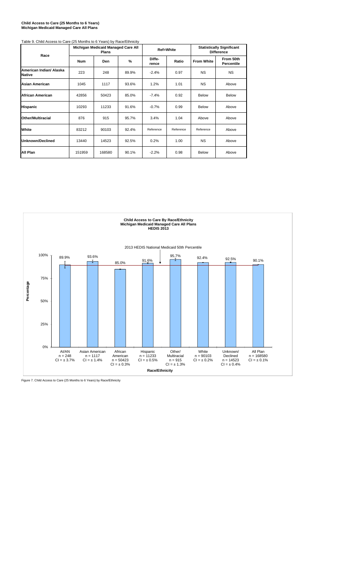#### **Child Access to Care (25 Months to 6 Years) Michigan Medicaid Managed Care All Plans**

| Race                                     |            | Michigan Medicaid Managed Care All<br><b>Plans</b> |               |                 | <b>Ref=White</b> |                   | <b>Statistically Significant</b><br><b>Difference</b> |
|------------------------------------------|------------|----------------------------------------------------|---------------|-----------------|------------------|-------------------|-------------------------------------------------------|
|                                          | <b>Num</b> | Den                                                | $\frac{9}{6}$ | Diffe-<br>rence | Ratio            | <b>From White</b> | From 50th<br><b>Percentile</b>                        |
| American Indian/ Alaska<br><b>Native</b> | 223        | 248                                                | 89.9%         | $-2.4%$         | 0.97             | <b>NS</b>         | <b>NS</b>                                             |
| Asian American                           | 1045       | 1117                                               | 93.6%         | 1.2%            | 1.01             | <b>NS</b>         | Above                                                 |
| African American                         | 42856      | 50423                                              | 85.0%         | $-7.4%$         | 0.92             | Below             | <b>Below</b>                                          |
| <b>Hispanic</b>                          | 10293      | 11233                                              | 91.6%         | $-0.7%$         | 0.99             | <b>Below</b>      | Above                                                 |
| Other/Multiracial                        | 876        | 915                                                | 95.7%         | 3.4%            | 1.04             | Above             | Above                                                 |
| White                                    | 83212      | 90103                                              | 92.4%         | Reference       | Reference        | Reference         | Above                                                 |
| <b>Unknown/Declined</b>                  | 13440      | 14523                                              | 92.5%         | 0.2%            | 1.00             | <b>NS</b>         | Above                                                 |
| All Plan                                 | 151959     | 168580                                             | 90.1%         | $-2.2%$         | 0.98             | Below             | Above                                                 |



Figure 7. Child Access to Care (25 Months to 6 Years) by Race/Ethnicity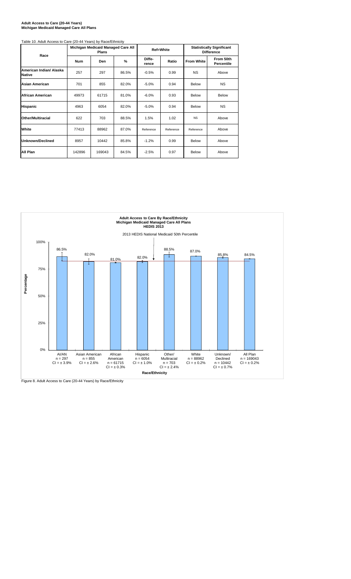#### **Adult Access to Care (20-44 Years) Michigan Medicaid Managed Care All Plans**

| Table 10. Adult Access to Care (20-44 Years) by Race/Ethnicity |            |                                             |       |                 |           |                                                       |                         |  |  |  |  |  |
|----------------------------------------------------------------|------------|---------------------------------------------|-------|-----------------|-----------|-------------------------------------------------------|-------------------------|--|--|--|--|--|
|                                                                |            | Michigan Medicaid Managed Care All<br>Plans |       |                 | Ref=White | <b>Statistically Significant</b><br><b>Difference</b> |                         |  |  |  |  |  |
| Race                                                           | <b>Num</b> | Den                                         | %     | Diffe-<br>rence | Ratio     | <b>From White</b>                                     | From 50th<br>Percentile |  |  |  |  |  |
| American Indian/ Alaska<br><b>Native</b>                       | 257        | 297                                         | 86.5% | $-0.5%$         | 0.99      | <b>NS</b>                                             | Above                   |  |  |  |  |  |
| Asian American                                                 | 701        | 855                                         | 82.0% | $-5.0%$         | 0.94      | Below                                                 | <b>NS</b>               |  |  |  |  |  |
| African American                                               | 49973      | 61715                                       | 81.0% | $-6.0%$         | 0.93      | Below                                                 | Below                   |  |  |  |  |  |
| <b>Hispanic</b>                                                | 4963       | 6054                                        | 82.0% | $-5.0%$         | 0.94      | Below                                                 | <b>NS</b>               |  |  |  |  |  |
| Other/Multiracial                                              | 622        | 703                                         | 88.5% | 1.5%            | 1.02      | <b>NS</b>                                             | Above                   |  |  |  |  |  |
| White                                                          | 77413      | 88962                                       | 87.0% | Reference       | Reference | Reference                                             | Above                   |  |  |  |  |  |
| Unknown/Declined                                               | 8957       | 10442                                       | 85.8% | $-1.2%$         | 0.99      | Below                                                 | Above                   |  |  |  |  |  |
| All Plan                                                       | 142896     | 169043                                      | 84.5% | $-2.5%$         | 0.97      | Below                                                 | Above                   |  |  |  |  |  |

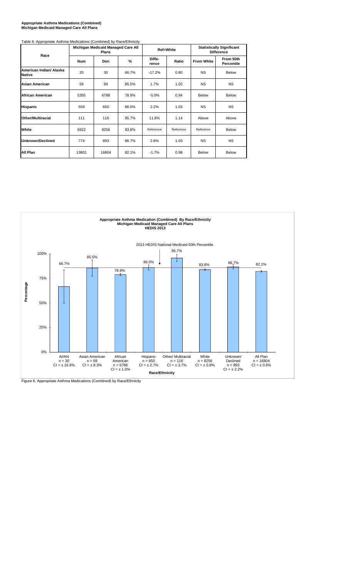#### **Appropriate Asthma Medications (Combined) Michigan Medicaid Managed Care All Plans**

| Table 8. Appropriate Asthma Medications (Combined) by Race/Ethnicity |            | Michigan Medicaid Managed Care All<br><b>Plans</b> |       |                 | Ref=White |                   | <b>Statistically Significant</b><br><b>Difference</b> |
|----------------------------------------------------------------------|------------|----------------------------------------------------|-------|-----------------|-----------|-------------------|-------------------------------------------------------|
| Race                                                                 | <b>Num</b> | Den                                                | %     | Diffe-<br>rence | Ratio     | <b>From White</b> | From 50th<br><b>Percentile</b>                        |
| American Indian/ Alaska<br><b>Native</b>                             | 20         | 30                                                 | 66.7% | $-17.2%$        | 0.80      | <b>NS</b>         | <b>Below</b>                                          |
| Asian American                                                       | 59         | 69                                                 | 85.5% | 1.7%            | 1.02      | <b>NS</b>         | <b>NS</b>                                             |
| African American                                                     | 5355       | 6788                                               | 78.9% | $-5.0%$         | 0.94      | Below             | <b>Below</b>                                          |
| <b>Hispanic</b>                                                      | 559        | 650                                                | 86.0% | 2.2%            | 1.03      | <b>NS</b>         | <b>NS</b>                                             |
| <b>Other/Multiracial</b>                                             | 111        | 116                                                | 95.7% | 11.8%           | 1.14      | Above             | Above                                                 |
| White                                                                | 6922       | 8256                                               | 83.8% | Reference       | Reference | Reference         | <b>Below</b>                                          |
| Unknown/Declined                                                     | 774        | 893                                                | 86.7% | 2.8%            | 1.03      | <b>NS</b>         | <b>NS</b>                                             |
| All Plan                                                             | 13801      | 16804                                              | 82.1% | $-1.7%$         | 0.98      | <b>Below</b>      | <b>Below</b>                                          |



Figure 6. Appropriate Asthma Medications (Combined) by Race/Ethnicity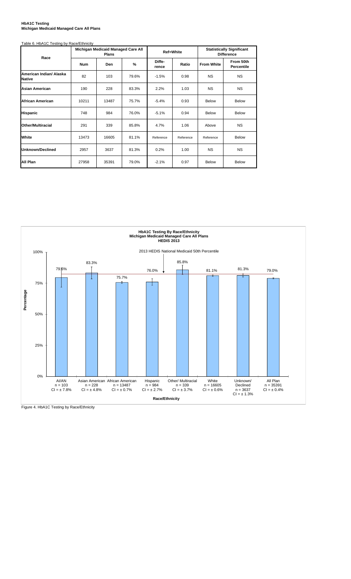#### **HbA1C Testing Michigan Medicaid Managed Care All Plans**

| Table 6. HbA1C Testing by Race/Ethnicity |  |
|------------------------------------------|--|
|                                          |  |
|                                          |  |

| Race                                     |            | Michigan Medicaid Managed Care All<br>Plans |       |                 | <b>Ref=White</b> | <b>Statistically Significant</b><br><b>Difference</b> |                                |  |  |
|------------------------------------------|------------|---------------------------------------------|-------|-----------------|------------------|-------------------------------------------------------|--------------------------------|--|--|
|                                          | <b>Num</b> | Den                                         | %     | Diffe-<br>rence | Ratio            | <b>From White</b>                                     | From 50th<br><b>Percentile</b> |  |  |
| American Indian/ Alaska<br><b>Native</b> | 82         | 103                                         | 79.6% | $-1.5%$         | 0.98             | <b>NS</b>                                             | <b>NS</b>                      |  |  |
| <b>Asian American</b>                    | 190        | 228                                         | 83.3% | 2.2%            | 1.03             | <b>NS</b>                                             | <b>NS</b>                      |  |  |
| African American                         | 10211      | 13487                                       | 75.7% | $-5.4%$         | 0.93             | <b>Below</b>                                          | <b>Below</b>                   |  |  |
| <b>Hispanic</b>                          | 748        | 984                                         | 76.0% | $-5.1%$         | 0.94             | Below                                                 | <b>Below</b>                   |  |  |
| Other/Multiracial                        | 291        | 339                                         | 85.8% | 4.7%            | 1.06             | Above                                                 | <b>NS</b>                      |  |  |
| White                                    | 13473      | 16605                                       | 81.1% | Reference       | Reference        | Reference                                             | <b>Below</b>                   |  |  |
| Unknown/Declined                         | 2957       | 3637                                        | 81.3% | 0.2%            | 1.00             | <b>NS</b>                                             | <b>NS</b>                      |  |  |
| All Plan                                 | 27958      | 35391                                       | 79.0% | $-2.1%$         | 0.97             | Below                                                 | <b>Below</b>                   |  |  |



Figure 4. HbA1C Testing by Race/Ethnicity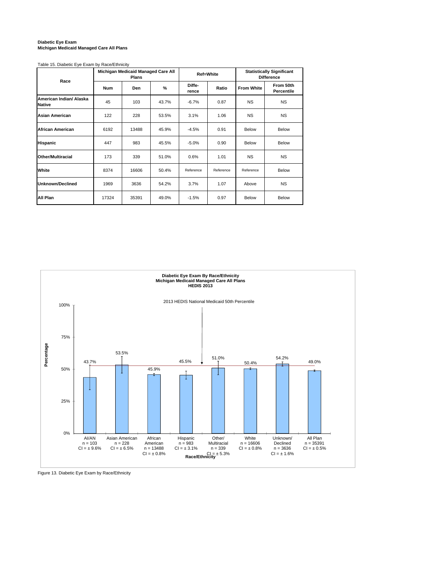#### **Diabetic Eye Exam Michigan Medicaid Managed Care All Plans**

Table 15. Diabetic Eye Exam by Race/Ethnicity

| Race                                     |            | Michigan Medicaid Managed Care All<br><b>Plans</b> |       |                 | <b>Ref=White</b> | <b>Statistically Significant</b><br><b>Difference</b> |                         |  |  |
|------------------------------------------|------------|----------------------------------------------------|-------|-----------------|------------------|-------------------------------------------------------|-------------------------|--|--|
|                                          | <b>Num</b> | Den                                                | $\%$  | Diffe-<br>rence | Ratio            | <b>From White</b>                                     | From 50th<br>Percentile |  |  |
| American Indian/ Alaska<br><b>Native</b> | 45         | 103                                                | 43.7% | $-6.7%$         | 0.87             | <b>NS</b>                                             | <b>NS</b>               |  |  |
| Asian American                           | 122        | 228                                                | 53.5% | 3.1%            | 1.06             | <b>NS</b>                                             | <b>NS</b>               |  |  |
| African American                         | 6192       | 13488                                              | 45.9% | $-4.5%$         | 0.91             | Below                                                 | Below                   |  |  |
| <b>Hispanic</b>                          | 447        | 983                                                | 45.5% | $-5.0%$         | 0.90             | Below                                                 | Below                   |  |  |
| Other/Multiracial                        | 173        | 339                                                | 51.0% | 0.6%            | 1.01             | <b>NS</b>                                             | <b>NS</b>               |  |  |
| White                                    | 8374       | 16606                                              | 50.4% | Reference       | Reference        | Reference                                             | Below                   |  |  |
| Unknown/Declined                         | 1969       | 3636                                               | 54.2% | 3.7%            | 1.07             | Above                                                 | <b>NS</b>               |  |  |
| All Plan                                 | 17324      | 35391                                              | 49.0% | $-1.5%$         | 0.97             | Below                                                 | Below                   |  |  |



Figure 13. Diabetic Eye Exam by Race/Ethnicity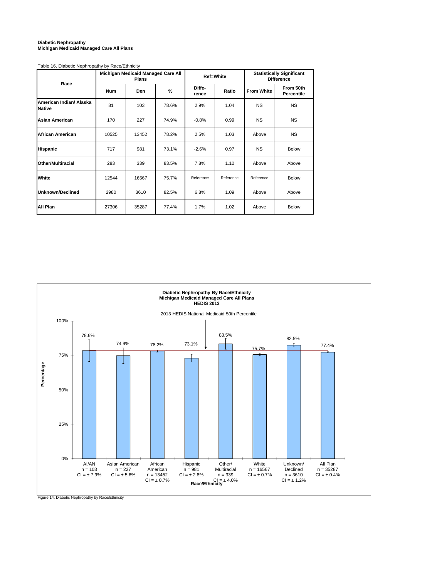#### **Diabetic Nephropathy Michigan Medicaid Managed Care All Plans**

#### Table 16. Diabetic Nephropathy by Race/Ethnicity

| Race                                     |            | Michigan Medicaid Managed Care All<br><b>Plans</b> |       |                 | Ref=White | <b>Statistically Significant</b><br><b>Difference</b> |                         |  |  |
|------------------------------------------|------------|----------------------------------------------------|-------|-----------------|-----------|-------------------------------------------------------|-------------------------|--|--|
|                                          | <b>Num</b> | Den                                                | %     | Diffe-<br>rence | Ratio     | <b>From White</b>                                     | From 50th<br>Percentile |  |  |
| American Indian/ Alaska<br><b>Native</b> | 81         | 103                                                | 78.6% | 2.9%            | 1.04      | <b>NS</b>                                             | <b>NS</b>               |  |  |
| <b>Asian American</b>                    | 170        | 227                                                | 74.9% | $-0.8%$         | 0.99      | <b>NS</b>                                             | <b>NS</b>               |  |  |
| <b>African American</b>                  | 10525      | 13452                                              | 78.2% | 2.5%            | 1.03      | Above                                                 | <b>NS</b>               |  |  |
| <b>Hispanic</b>                          | 717        | 981                                                | 73.1% | $-2.6%$         | 0.97      | <b>NS</b>                                             | Below                   |  |  |
| Other/Multiracial                        | 283        | 339                                                | 83.5% | 7.8%            | 1.10      | Above                                                 | Above                   |  |  |
| White                                    | 12544      | 16567                                              | 75.7% | Reference       | Reference | Reference                                             | Below                   |  |  |
| Unknown/Declined                         | 2980       | 3610                                               | 82.5% | 6.8%            | 1.09      | Above                                                 | Above                   |  |  |
| All Plan                                 | 27306      | 35287                                              | 77.4% | 1.7%            | 1.02      | Above                                                 | Below                   |  |  |



Figure 14. Diabetic Nephropathy by Race/Ethnicity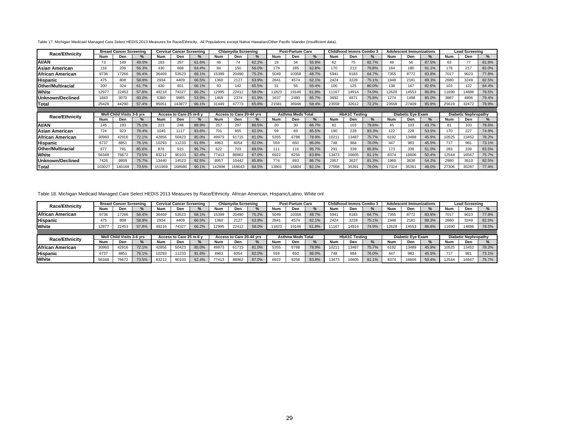#### Table 17. Michigan Medicaid Managed Care Select HEDIS 2013 Measures for Race/Ethnicity. All Populations except Native Hawaiian/Other Pacific Islander (Insufficient data).

| Race/Ethnicity           |        | <b>Breast Cancer Screening</b> |               |        | Cervical Cancer Screening |               |            | Chlamydia Screening      |       |            | <b>Post-Partum Care</b>  |               |       | <b>Childhood Immns Combo 3</b> |               |       | <b>Adolescent Immunizations</b> |               |       | <b>Lead Screening</b>       |       |
|--------------------------|--------|--------------------------------|---------------|--------|---------------------------|---------------|------------|--------------------------|-------|------------|--------------------------|---------------|-------|--------------------------------|---------------|-------|---------------------------------|---------------|-------|-----------------------------|-------|
|                          | Num    | Den                            | $\%$          | Num    | Den                       | %             | Num        | Den                      |       | <b>Num</b> | Den                      | %             | Num   | Den                            | $\frac{9}{6}$ | Num   | Den                             |               | Num   | Den                         | %     |
| <b>AI/AN</b>             | 73     | 149                            | 49.0%         | 183    | 297                       | 61.6%         | 46         | 74                       | 62.2% | 19         | 34                       | 55.9%         | 62    | 75                             | 82.7%         | 49    | 56                              | 87.5%         | 63    | 77                          | 81.8% |
| Asian American           | 116    | 206                            | 56.3%         | 430    | 668                       | 64.4%         | 84         | 150                      | 56.0% | 179        | 285                      | 62.8%         | 170   | 213                            | 79.8%         | 164   | 180                             | 91.1%         | 178   | 217                         | 82.0% |
| African American         | 9736   | 17266                          | 56.4%         | 36469  | 53523                     | 68.1%         | 15399      | 20490                    | 75.2% | 5049       | 10358                    | 48.7%         | 5941  | 9183                           | 64.7%         | 7355  | 8772                            | 83.8%         | 7017  | 9023                        | 77.8% |
| <b>Hispanic</b>          | 475    | 808                            | 58.8%         | 2934   | 4409                      | 66.5%         | 1360       | 2127                     | 63.9% | 2841       | 4574                     | 62.1%         | 2424  | 3228                           | 75.1%         | 1948  | 2181                            | 89.3%         | 2680  | 3249                        | 82.5% |
| <b>Other/Multiracial</b> | 200    | 324                            | 61.7%         | 430    | 651                       | 66.1%         | 93         | 142                      | 65.5% | 31         | 56                       | 55.4%         | 100   | 125                            | 80.0%         | 138   | 167                             | 82.6%         | 103   | 122                         | 84.4% |
| White                    | 12977  | 22453                          | 57.8%         | 49216  | 74327                     | 66.2%         | 12995      | 22412                    | 58.0% | 1823       | 19146                    | 61.8%         | 11167 | 14914                          | 74.9%         | 12628 | 14553                           | 86.8%         | 11690 | 14886                       | 78.5% |
| Unknown/Declined         | 1843   | 3070                           | 60.0%         | 5380   | 9985                      | 53.9%         | 1469       | 2374                     | 61.9% | 1637       | 2490                     | 65.7%         | 3692  | 4871                           | 75.8%         | 1274  | 1498                            | 85.0%         | 3887  | 4896                        | 79.4% |
| Total                    | 25428  | 44290                          | 57.4%         | 95051  | 14387                     | 66.1%         | 31449      | 47773                    | 65.8% | 21581      | 36946                    | 58.4%         | 23558 | 32612                          | 72.2%         | 23558 | 27409                           | 85.9%         | 25619 | 32472                       | 78.9% |
|                          |        |                                |               |        |                           |               |            |                          |       |            |                          |               |       |                                |               |       |                                 |               |       |                             |       |
| Race/Ethnicity           |        | Well Child Visits 3-6 vrs      |               |        | Access to Care 25 m-6 v   |               |            | Access to Care 20-44 vrs |       |            | <b>Asthma Meds Total</b> |               |       | <b>HbA1C Testing</b>           |               |       | <b>Diabetic Eye Exam</b>        |               |       | <b>Diabetic Nephropathy</b> |       |
|                          | Num    | Den                            | $\frac{9}{6}$ | Num    | Den                       | $\frac{9}{6}$ | <b>Num</b> | Den                      |       | <b>Num</b> | Den                      | $\frac{9}{6}$ | Num   | Den                            | $\frac{1}{2}$ | Num   | Den                             | $\frac{9}{6}$ | Num   | Den                         | %     |
| AI/AN                    | 145    | 193                            | 75.1%         | 223    | 248                       | 89.9%         | 257        | 297                      | 86.5% | 20         | 30                       | 66.7%         | 82    | 103                            | 79.6%         | 45    | 103                             | 43.7%         | 81    | 103                         | 78.6% |
| Asian American           | 724    | 923                            | 78.4%         | 1045   | 1117                      | 93.6%         | 701        | 855                      | 82.0% | 59         | 69                       | 85.5%         | 190   | 228                            | 83.3%         | 122   | 228                             | 53.5%         | 170   | 227                         | 74.9% |
| African American         | 30960  | 42916                          | 72.1%         | 42856  | 50423                     | 85.0%         | 49973      | 61715                    | 81.0% | 5355       | 6788                     | 78.9%         | 1021  | 13487                          | 75.7%         | 6192  | 13488                           | 45.9%         | 10525 | 13452                       | 78.2% |
| <b>Hispanic</b>          | 6737   | 8851                           | 76.1%         | 10293  | 11233                     | 91.6%         | 4963       | 6054                     | 82.0% | 559        | 650                      | 86.0%         | 748   | 984                            | 76.0%         | 447   | 983                             | 45.5%         | 717   | 981                         | 73.1% |
| <b>Other/Multiracial</b> | 677    | 791                            | 85.6%         | 876    | 915                       | 95.7%         | 622        | 703                      | 88.5% | 111        | 116                      | 95.7%         | 291   | 339                            | 85.8%         | 173   | 339                             | 51.0%         | 283   | 339                         | 83.5% |
| White                    | 56348  | 76672                          | 73.5%         | 83212  | 90103                     | 92.4%         | 77413      | 88962                    | 87.0% | 6922       | 8256                     | 83.8%         | 13473 | 16605                          | 81.1%         | 8374  | 16606                           | 50.4%         | 12544 | 16567                       | 75.7% |
| Unknown/Declined         | 7426   | 9809                           | 75.7%         | 13440  | 14523                     | 92.5%         | 8957       | 10442                    | 85.8% | 774        | 893                      | 86.7%         | 2957  | 3637                           | 81.3%         | 1969  | 3636                            | 54.2%         | 2980  | 3610                        | 82.5% |
| <b>Total</b>             | 103027 | 140169                         | 73.5%         | 151959 | 168580                    | 90.1%         | 142896     | 169043                   | 84.5% | 13801      | 16804                    | 82.1%         | 27958 | 3539                           | 79.0%         | 17324 | 3539                            | 49.0%         | 27306 | 35287                       | 77.4% |

#### Table 18. Michigan Medicaid Managed Care Select HEDIS 2013 Measures by Race/Ethnicity. African American, Hispanic/Latino, White only

| <b>Race/Ethnicity</b> |            | <b>Breast Cancer Screening</b> |       |       | <b>Cervical Cancer Screening</b> |               |            | Chlamydia Screening                                  |               |       | <b>Post-Partum Care</b> |       | <b>Childhood Immns Combo 3</b> |       |                          | <b>Adolescent Immunizations</b> |       |                      | <b>Lead Screening</b> |       |       |
|-----------------------|------------|--------------------------------|-------|-------|----------------------------------|---------------|------------|------------------------------------------------------|---------------|-------|-------------------------|-------|--------------------------------|-------|--------------------------|---------------------------------|-------|----------------------|-----------------------|-------|-------|
|                       | <b>Num</b> | Den                            |       | Num   | Den                              | $\frac{9}{6}$ | <b>Num</b> | Den                                                  | $\Omega$      | Num   | Den                     |       | Num                            | Den   | $\%$                     | Num                             | Den   | $\Omega$             | Num                   | Den   |       |
| African American      | 9736       | 17266                          | 56.4% | 36469 | 53523                            | 68.1%         | 15399      | 20490                                                | 75.2%         | 5049  | 10358                   | 48.7% | 5941                           | 9183  | 64.7%                    | 7355                            | 8772  | 83.8%                | 7017                  | 9023  | 77.8% |
| <b>Hispanic</b>       | 475        | 808                            | 58.8% | 2934  | 4409                             | 66.5%         | 1360       | 2127                                                 | 63.9%         | 2841  | 4574                    | 62.1% | 2424                           | 3228  | 75.1%                    | 1948                            | 2181  | 89.3%                | 2680                  | 3249  | 82.5% |
| White                 | 12977      | 22453                          | 57.8% | 49216 | 74327                            | 66.2%         | 12995      | 22412                                                | 58.0%         | 11823 | 19146                   | 61.8% | 11167                          | 14914 | 74.9%                    | 12628                           | 14553 | 86.8%                | 11690                 | 14886 | 78.5% |
|                       |            |                                |       |       |                                  |               |            |                                                      |               |       |                         |       |                                |       |                          |                                 |       |                      |                       |       |       |
| <b>Race/Ethnicity</b> |            | Well Child Visits 3-6 vrs      |       |       | Access to Care 25 m-6 v          |               |            | Access to Care 20-44 vrs<br><b>Asthma Meds Total</b> |               |       | <b>HbA1C Testing</b>    |       |                                |       | <b>Diabetic Eve Exam</b> |                                 |       | Diabetic Nephropathy |                       |       |       |
|                       | Num        | Den                            |       | Num   | Den                              | $\%$          | <b>Num</b> | Den                                                  | $\frac{9}{6}$ | Num   | Den                     |       | Num                            | Den   | $\frac{9}{6}$            | Num                             | Den   | $\frac{9}{6}$        | Num                   | Den   |       |
| African American      | 30960      | 42916                          | 72.1% | 42856 | 50423                            | 85.0%         | 49973      | 61715                                                | 81.0%         | 5355  | 6788                    | 78.9% | 1021                           | 13487 | 75.7%                    | 6192                            | 13488 | 45.9%                | 10525                 | 13452 | 78.2% |
| <b>Hispanic</b>       | 6737       | 885                            | 76.1% | 10293 | 11233                            | 91.6%         | 4963       | 6054                                                 | 82.0%         | 559   | 650                     | 86.0% | 748                            | 984   | 76.0%                    | 447                             | 983   | 45.5%                | 717                   | 981   | 73.1% |
| White                 | 56348      | 76672                          | 73.5% | 83212 | 90103                            | 92.4%         | 77413      | 88962                                                | 87.0%         | 6922  | 8256                    | 83.8% | 13473                          | 16605 | 81.1%                    | 8374                            | 16606 | 50.4%                | 12544                 | 16567 | 75.7% |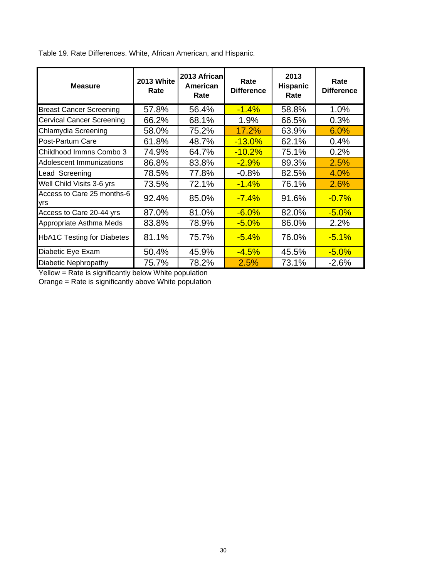| <b>Measure</b>                     | <b>2013 White</b><br>Rate | 2013 African<br>American<br>Rate | Rate<br><b>Difference</b> | 2013<br><b>Hispanic</b><br>Rate | Rate<br><b>Difference</b> |
|------------------------------------|---------------------------|----------------------------------|---------------------------|---------------------------------|---------------------------|
| <b>Breast Cancer Screening</b>     | 57.8%                     | 56.4%                            | $-1.4%$                   | 58.8%                           | 1.0%                      |
| <b>Cervical Cancer Screening</b>   | 66.2%                     | 68.1%                            | 1.9%                      | 66.5%                           | 0.3%                      |
| Chlamydia Screening                | 58.0%                     | 75.2%                            | 17.2%                     | 63.9%                           | 6.0%                      |
| Post-Partum Care                   | 61.8%                     | 48.7%                            | $-13.0%$                  | 62.1%                           | 0.4%                      |
| Childhood Immns Combo 3            | 74.9%                     | 64.7%                            | $-10.2%$                  | 75.1%                           | 0.2%                      |
| <b>Adolescent Immunizations</b>    | 86.8%                     | 83.8%                            | $-2.9%$                   | 89.3%                           | 2.5%                      |
| Lead Screening                     | 78.5%                     | 77.8%                            | $-0.8%$                   | 82.5%                           | 4.0%                      |
| Well Child Visits 3-6 yrs          | 73.5%                     | 72.1%                            | $-1.4%$                   | 76.1%                           | 2.6%                      |
| Access to Care 25 months-6<br>lyrs | 92.4%                     | 85.0%                            | $-7.4%$                   | 91.6%                           | $-0.7%$                   |
| Access to Care 20-44 yrs           | 87.0%                     | 81.0%                            | $-6.0%$                   | 82.0%                           | $-5.0%$                   |
| Appropriate Asthma Meds            | 83.8%                     | 78.9%                            | $-5.0%$                   | 86.0%                           | 2.2%                      |
| <b>HbA1C Testing for Diabetes</b>  | 81.1%                     | 75.7%                            | $-5.4\%$                  | 76.0%                           | $-5.1%$                   |
| Diabetic Eye Exam                  | 50.4%                     | 45.9%                            | $-4.5%$                   | 45.5%                           | $-5.0%$                   |
| Diabetic Nephropathy               | 75.7%                     | 78.2%                            | 2.5%                      | 73.1%                           | $-2.6%$                   |

Table 19. Rate Differences. White, African American, and Hispanic.

Yellow = Rate is significantly below White population

Orange = Rate is significantly above White population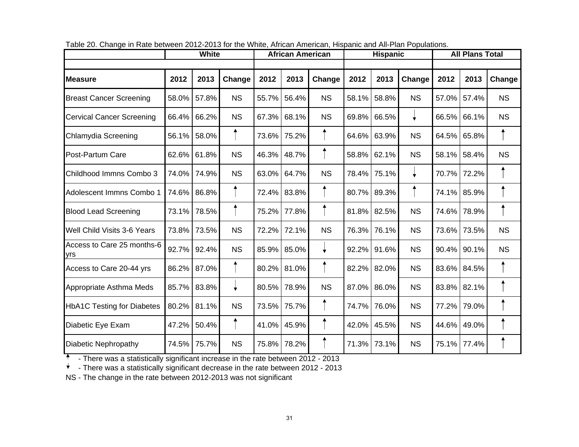|                                   |       | White |           |                        | <b>African American</b> |              |       | <b>Hispanic</b> |           | <b>All Plans Total</b> |        |           |  |  |  |
|-----------------------------------|-------|-------|-----------|------------------------|-------------------------|--------------|-------|-----------------|-----------|------------------------|--------|-----------|--|--|--|
|                                   |       |       |           |                        |                         |              |       |                 |           |                        |        |           |  |  |  |
| lMeasure                          | 2012  | 2013  | Change    | 2012<br>2013<br>Change |                         | 2012         | 2013  | Change          | 2012      | 2013                   | Change |           |  |  |  |
| <b>Breast Cancer Screening</b>    | 58.0% | 57.8% | <b>NS</b> | 55.7%                  | 56.4%                   | <b>NS</b>    | 58.1% | 58.8%           | <b>NS</b> | 57.0%                  | 57.4%  | <b>NS</b> |  |  |  |
| <b>Cervical Cancer Screening</b>  | 66.4% | 66.2% | <b>NS</b> | 67.3%                  | 68.1%                   | <b>NS</b>    | 69.8% | 66.5%           |           | 66.5%                  | 66.1%  | <b>NS</b> |  |  |  |
| Chlamydia Screening               | 56.1% | 58.0% |           | 73.6%                  | 75.2%                   |              | 64.6% | 63.9%           | <b>NS</b> | 64.5%                  | 65.8%  |           |  |  |  |
| Post-Partum Care                  | 62.6% | 61.8% | <b>NS</b> | 46.3%                  | 48.7%                   |              | 58.8% | 62.1%           | <b>NS</b> | 58.1%                  | 58.4%  | <b>NS</b> |  |  |  |
| Childhood Immns Combo 3           | 74.0% | 74.9% | <b>NS</b> | 63.0%                  | 64.7%                   | <b>NS</b>    | 78.4% | 75.1%           |           | 70.7%                  | 72.2%  |           |  |  |  |
| Adolescent Immns Combo 1          | 74.6% | 86.8% |           | 72.4%                  | 83.8%                   |              | 80.7% | 89.3%           |           | 74.1%                  | 85.9%  |           |  |  |  |
| <b>Blood Lead Screening</b>       | 73.1% | 78.5% |           | 75.2%                  | 77.8%                   |              | 81.8% | 82.5%           | <b>NS</b> | 74.6%                  | 78.9%  |           |  |  |  |
| Well Child Visits 3-6 Years       | 73.8% | 73.5% | <b>NS</b> | 72.2%                  | 72.1%                   | <b>NS</b>    | 76.3% | 76.1%           | <b>NS</b> | 73.6%                  | 73.5%  | <b>NS</b> |  |  |  |
| Access to Care 25 months-6<br>yrs | 92.7% | 92.4% | <b>NS</b> | 85.9%                  | 85.0%                   | $\downarrow$ | 92.2% | 91.6%           | <b>NS</b> | 90.4%                  | 90.1%  | <b>NS</b> |  |  |  |
| Access to Care 20-44 yrs          | 86.2% | 87.0% |           | 80.2%                  | 81.0%                   |              | 82.2% | 82.0%           | <b>NS</b> | 83.6%                  | 84.5%  |           |  |  |  |
| Appropriate Asthma Meds           | 85.7% | 83.8% | ÷         | 80.5%                  | 78.9%                   | <b>NS</b>    | 87.0% | 86.0%           | <b>NS</b> | 83.8%                  | 82.1%  |           |  |  |  |
| <b>HbA1C Testing for Diabetes</b> | 80.2% | 81.1% | <b>NS</b> | 73.5%                  | 75.7%                   |              | 74.7% | 76.0%           | <b>NS</b> | 77.2%                  | 79.0%  |           |  |  |  |
| Diabetic Eye Exam                 | 47.2% | 50.4% |           | 41.0%                  | 45.9%                   |              | 42.0% | 45.5%           | <b>NS</b> | 44.6%                  | 49.0%  |           |  |  |  |
| Diabetic Nephropathy              | 74.5% | 75.7% | <b>NS</b> | 75.8%                  | 78.2%                   |              | 71.3% | 73.1%           | <b>NS</b> | 75.1%                  | 77.4%  |           |  |  |  |

| Table 20. Change in Rate between 2012-2013 for the White, African American, Hispanic and All-Plan Populations. |  |
|----------------------------------------------------------------------------------------------------------------|--|

- There was a statistically significant increase in the rate between 2012 - 2013

 $*$  - There was a statistically significant decrease in the rate between 2012 - 2013

NS - The change in the rate between 2012-2013 was not significant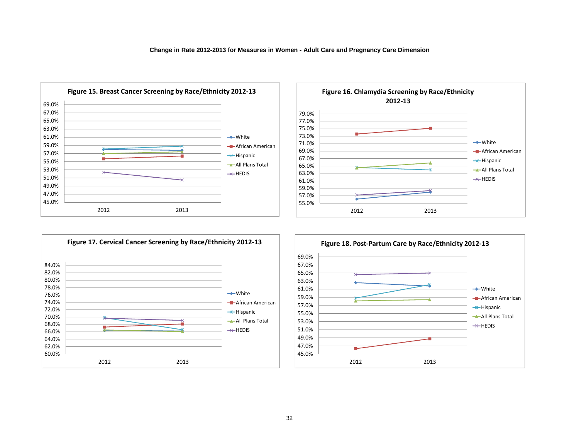





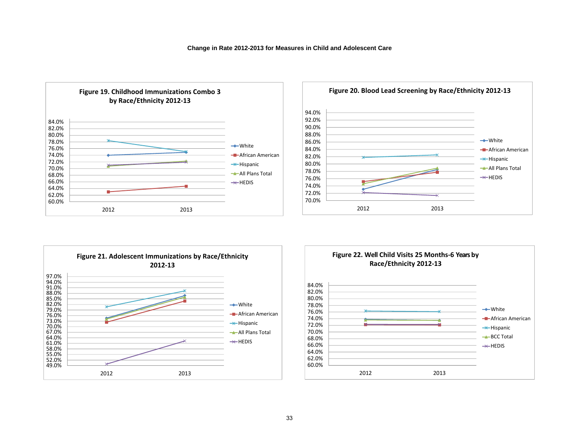





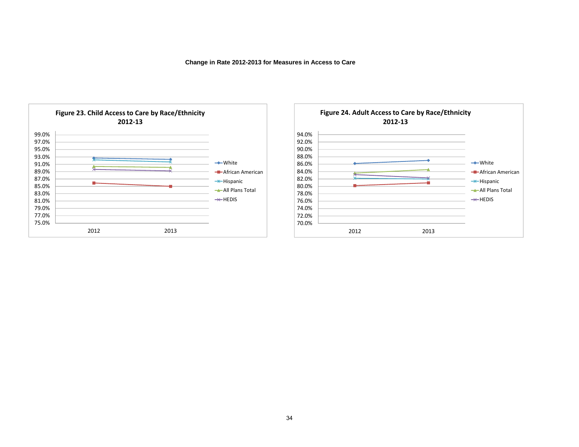**Change in Rate 2012-2013 for Measures in Access to Care**



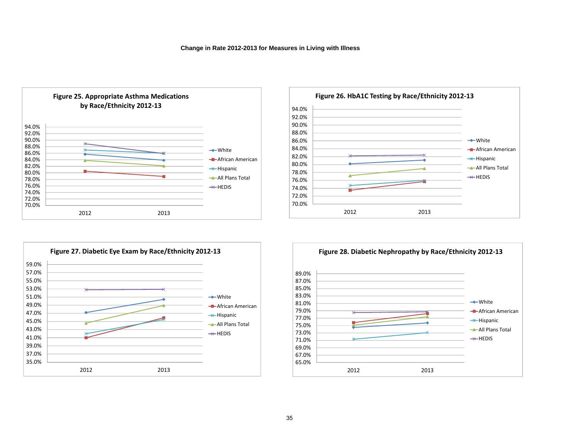





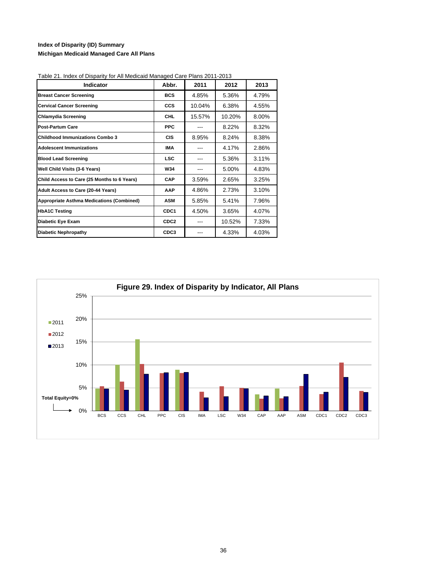### **Index of Disparity (ID) Summary Michigan Medicaid Managed Care All Plans**

| Indicator                                        | Abbr.            | 2011   | 2012   | 2013  |
|--------------------------------------------------|------------------|--------|--------|-------|
| <b>Breast Cancer Screening</b>                   | <b>BCS</b>       | 4.85%  | 5.36%  | 4.79% |
| <b>Cervical Cancer Screening</b>                 | <b>CCS</b>       | 10.04% | 6.38%  | 4.55% |
| <b>Chlamydia Screening</b>                       | <b>CHL</b>       | 15.57% | 10.20% | 8.00% |
| <b>Post-Partum Care</b>                          | <b>PPC</b>       |        | 8.22%  | 8.32% |
| <b>Childhood Immunizations Combo 3</b>           | <b>CIS</b>       | 8.95%  | 8.24%  | 8.38% |
| <b>Adolescent Immunizations</b>                  | <b>IMA</b>       |        | 4.17%  | 2.86% |
| <b>Blood Lead Screening</b>                      | <b>LSC</b>       |        | 5.36%  | 3.11% |
| Well Child Visits (3-6 Years)                    | W34              |        | 5.00%  | 4.83% |
| Child Access to Care (25 Months to 6 Years)      | CAP              | 3.59%  | 2.65%  | 3.25% |
| Adult Access to Care (20-44 Years)               | <b>AAP</b>       | 4.86%  | 2.73%  | 3.10% |
| <b>Appropriate Asthma Medications (Combined)</b> | <b>ASM</b>       | 5.85%  | 5.41%  | 7.96% |
| <b>HbA1C Testing</b>                             | CDC <sub>1</sub> | 4.50%  | 3.65%  | 4.07% |
| Diabetic Eye Exam                                | CDC <sub>2</sub> | ---    | 10.52% | 7.33% |
| <b>Diabetic Nephropathy</b>                      | CDC3             |        | 4.33%  | 4.03% |

Table 21. Index of Disparity for All Medicaid Managed Care Plans 2011-2013

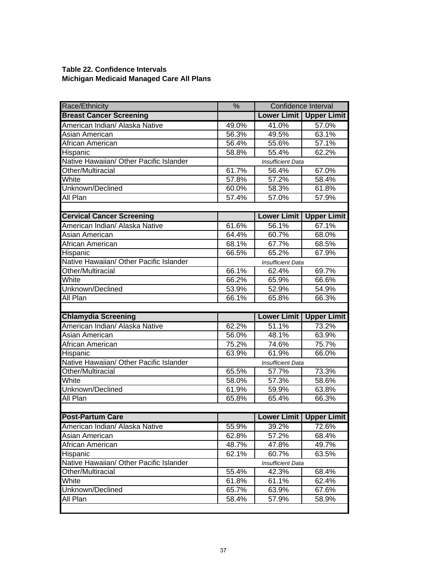### **Table 22. Confidence Intervals Michigan Medicaid Managed Care All Plans**

| Race/Ethnicity                          | $\frac{9}{6}$            | Confidence Interval      |                    |  |  |  |  |  |
|-----------------------------------------|--------------------------|--------------------------|--------------------|--|--|--|--|--|
| <b>Breast Cancer Screening</b>          |                          | <b>Lower Limit</b>       | <b>Upper Limit</b> |  |  |  |  |  |
| American Indian/ Alaska Native          | 49.0%                    | 41.0%                    | 57.0%              |  |  |  |  |  |
| Asian American                          | 56.3%                    | 49.5%                    | 63.1%              |  |  |  |  |  |
| African American                        | 56.4%                    | 55.6%                    | 57.1%              |  |  |  |  |  |
| Hispanic                                | 58.8%                    | 55.4%                    | 62.2%              |  |  |  |  |  |
| Native Hawaiian/ Other Pacific Islander |                          | <b>Insufficient Data</b> |                    |  |  |  |  |  |
| Other/Multiracial                       | 61.7%                    | 56.4%                    | 67.0%              |  |  |  |  |  |
| White                                   | 57.8%                    | 57.2%                    | 58.4%              |  |  |  |  |  |
| Unknown/Declined                        | 60.0%                    | 58.3%                    | 61.8%              |  |  |  |  |  |
| All Plan                                | 57.4%                    | 57.0%                    | 57.9%              |  |  |  |  |  |
|                                         |                          |                          |                    |  |  |  |  |  |
| <b>Cervical Cancer Screening</b>        |                          | <b>Lower Limit</b>       | <b>Upper Limit</b> |  |  |  |  |  |
| American Indian/ Alaska Native          | 61.6%                    | 56.1%                    | 67.1%              |  |  |  |  |  |
| Asian American                          | 64.4%                    | 60.7%                    | 68.0%              |  |  |  |  |  |
| African American                        | 68.1%                    | 67.7%                    | 68.5%              |  |  |  |  |  |
| Hispanic                                | 66.5%                    | 65.2%                    | 67.9%              |  |  |  |  |  |
| Native Hawaiian/ Other Pacific Islander |                          | <b>Insufficient Data</b> |                    |  |  |  |  |  |
| Other/Multiracial                       | 66.1%                    | 62.4%                    | 69.7%              |  |  |  |  |  |
| White                                   | 66.2%                    | 65.9%                    | 66.6%              |  |  |  |  |  |
| Unknown/Declined                        | 53.9%                    | 52.9%                    | 54.9%              |  |  |  |  |  |
| All Plan                                | 66.1%                    | 65.8%                    | 66.3%              |  |  |  |  |  |
|                                         |                          |                          |                    |  |  |  |  |  |
| <b>Chlamydia Screening</b>              |                          | <b>Lower Limit</b>       | <b>Upper Limit</b> |  |  |  |  |  |
| American Indian/ Alaska Native          | 62.2%                    | 51.1%                    | 73.2%              |  |  |  |  |  |
| Asian American                          | 56.0%                    | 48.1%                    | 63.9%              |  |  |  |  |  |
| African American                        | 75.2%                    | 74.6%                    | 75.7%              |  |  |  |  |  |
| Hispanic                                | 63.9%                    | 61.9%                    | 66.0%              |  |  |  |  |  |
| Native Hawaiian/ Other Pacific Islander | <b>Insufficient Data</b> |                          |                    |  |  |  |  |  |
| Other/Multiracial                       | 65.5%                    | 57.7%                    | 73.3%              |  |  |  |  |  |
| White                                   |                          |                          |                    |  |  |  |  |  |
|                                         | 58.0%                    | 57.3%                    | 58.6%              |  |  |  |  |  |
| Unknown/Declined                        | 61.9%                    | 59.9%                    | 63.8%              |  |  |  |  |  |
| All Plan                                | 65.8%                    | 65.4%                    | 66.3%              |  |  |  |  |  |
|                                         |                          |                          |                    |  |  |  |  |  |
| <b>Post-Partum Care</b>                 |                          | <b>Lower Limit</b>       | <b>Upper Limit</b> |  |  |  |  |  |
| American Indian/ Alaska Native          | 55.9%                    | 39.2%                    | 72.6%              |  |  |  |  |  |
| Asian American                          | 62.8%                    | 57.2%                    | 68.4%              |  |  |  |  |  |
| African American                        | 48.7%                    | 47.8%                    | 49.7%              |  |  |  |  |  |
| Hispanic                                | 62.1%                    | 60.7%                    | 63.5%              |  |  |  |  |  |
| Native Hawaiian/ Other Pacific Islander |                          | <b>Insufficient Data</b> |                    |  |  |  |  |  |
| Other/Multiracial                       | 55.4%                    | 42.3%                    | 68.4%              |  |  |  |  |  |
| White                                   | 61.8%                    | 61.1%                    | 62.4%              |  |  |  |  |  |
| Unknown/Declined                        | 65.7%                    | 63.9%                    | 67.6%              |  |  |  |  |  |
| All Plan                                | 58.4%                    | 57.9%                    | 58.9%              |  |  |  |  |  |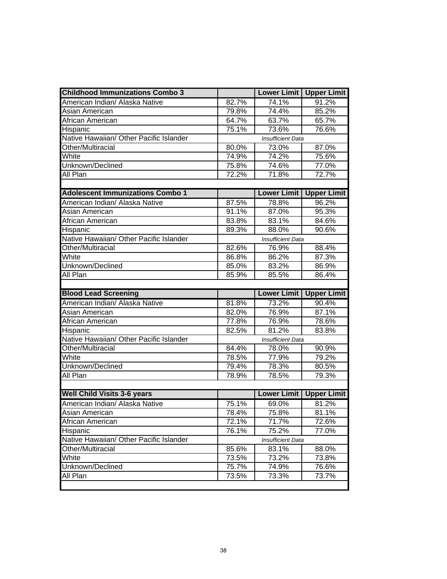| <b>Childhood Immunizations Combo 3</b>  |       | <b>Lower Limit</b>       | <b>Upper Limit</b>          |  |  |  |  |
|-----------------------------------------|-------|--------------------------|-----------------------------|--|--|--|--|
| American Indian/ Alaska Native          | 82.7% | 74.1%                    | 91.2%                       |  |  |  |  |
| Asian American                          | 79.8% | 74.4%                    | 85.2%                       |  |  |  |  |
| African American                        | 64.7% | 63.7%                    | 65.7%                       |  |  |  |  |
| Hispanic                                | 75.1% | 73.6%                    | 76.6%                       |  |  |  |  |
| Native Hawaiian/ Other Pacific Islander |       | <b>Insufficient Data</b> |                             |  |  |  |  |
| Other/Multiracial                       | 80.0% | 73.0%                    | 87.0%                       |  |  |  |  |
| White                                   | 74.9% | 74.2%                    | 75.6%                       |  |  |  |  |
| Unknown/Declined                        | 75.8% | 74.6%                    | 77.0%                       |  |  |  |  |
| All Plan                                | 72.2% | 71.8%                    | 72.7%                       |  |  |  |  |
|                                         |       |                          |                             |  |  |  |  |
| <b>Adolescent Immunizations Combo 1</b> |       | <b>Lower Limit</b>       | <b>Upper Limit</b>          |  |  |  |  |
| American Indian/ Alaska Native          | 87.5% | 78.8%                    | 96.2%                       |  |  |  |  |
| Asian American                          | 91.1% | 87.0%                    | 95.3%                       |  |  |  |  |
| African American                        | 83.8% | 83.1%                    | 84.6%                       |  |  |  |  |
| Hispanic                                | 89.3% | 88.0%                    | 90.6%                       |  |  |  |  |
| Native Hawaiian/ Other Pacific Islander |       | <b>Insufficient Data</b> |                             |  |  |  |  |
| Other/Multiracial                       | 82.6% | 76.9%                    | 88.4%                       |  |  |  |  |
| White                                   | 86.8% | 86.2%                    | 87.3%                       |  |  |  |  |
| Unknown/Declined                        | 85.0% | 83.2%                    | 86.9%                       |  |  |  |  |
| All Plan                                | 85.9% | 85.5%                    | 86.4%                       |  |  |  |  |
|                                         |       |                          |                             |  |  |  |  |
|                                         |       |                          |                             |  |  |  |  |
| <b>Blood Lead Screening</b>             |       |                          |                             |  |  |  |  |
| American Indian/ Alaska Native          | 81.8% | 73.2%                    | 90.4%                       |  |  |  |  |
| Asian American                          | 82.0% | 76.9%                    | 87.1%                       |  |  |  |  |
| African American                        | 77.8% | 76.9%                    | 78.6%                       |  |  |  |  |
| Hispanic                                | 82.5% | 81.2%                    | 83.8%                       |  |  |  |  |
| Native Hawaiian/ Other Pacific Islander |       | <b>Insufficient Data</b> |                             |  |  |  |  |
| Other/Multiracial                       | 84.4% | 78.0%                    | 90.9%                       |  |  |  |  |
| White                                   | 78.5% | 77.9%                    | 79.2%                       |  |  |  |  |
| Unknown/Declined                        | 79.4% | 78.3%                    | 80.5%                       |  |  |  |  |
| All Plan                                | 78.9% | 78.5%                    | 79.3%                       |  |  |  |  |
|                                         |       |                          | Lower Limit   Upper Limit   |  |  |  |  |
| <b>Well Child Visits 3-6 years</b>      |       | <b>Lower Limit</b>       |                             |  |  |  |  |
| American Indian/ Alaska Native          | 75.1% | 69.0%                    | 81.2%                       |  |  |  |  |
| Asian American                          | 78.4% | 75.8%                    | 81.1%                       |  |  |  |  |
| African American                        | 72.1% | 71.7%                    | 72.6%                       |  |  |  |  |
| Hispanic                                | 76.1% | 75.2%                    | 77.0%                       |  |  |  |  |
| Native Hawaiian/ Other Pacific Islander |       | <b>Insufficient Data</b> |                             |  |  |  |  |
| Other/Multiracial                       | 85.6% | 83.1%                    | 88.0%                       |  |  |  |  |
| White                                   | 73.5% | 73.2%                    | <b>Upper Limit</b><br>73.8% |  |  |  |  |
| Unknown/Declined                        | 75.7% | 74.9%                    | 76.6%                       |  |  |  |  |
| All Plan                                | 73.5% | 73.3%                    | 73.7%                       |  |  |  |  |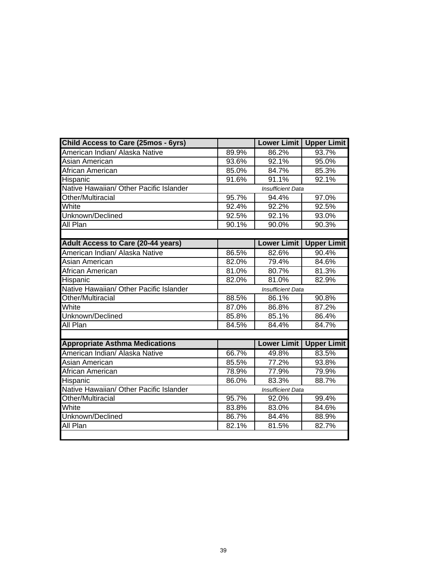| <b>Child Access to Care (25mos - 6yrs)</b> |       | <b>Lower Limit</b>       | <b>Upper Limit</b> |
|--------------------------------------------|-------|--------------------------|--------------------|
| American Indian/ Alaska Native             | 89.9% | 86.2%                    | 93.7%              |
| Asian American                             | 93.6% | 92.1%                    | 95.0%              |
| African American                           | 85.0% | 84.7%                    | 85.3%              |
| Hispanic                                   | 91.6% | 91.1%                    | 92.1%              |
| Native Hawaiian/ Other Pacific Islander    |       | <b>Insufficient Data</b> |                    |
| Other/Multiracial                          | 95.7% | 94.4%                    | 97.0%              |
| White                                      | 92.4% | 92.2%                    | 92.5%              |
| Unknown/Declined                           | 92.5% | 92.1%                    | 93.0%              |
| All Plan                                   | 90.1% | 90.0%                    | 90.3%              |
|                                            |       |                          |                    |
| <b>Adult Access to Care (20-44 years)</b>  |       | <b>Lower Limit</b>       | <b>Upper Limit</b> |
| American Indian/ Alaska Native             | 86.5% | 82.6%                    | 90.4%              |
| Asian American                             | 82.0% | 79.4%                    | 84.6%              |
| African American                           | 81.0% | 80.7%                    | 81.3%              |
| Hispanic                                   | 82.0% | 81.0%                    | 82.9%              |
| Native Hawaiian/ Other Pacific Islander    |       | <b>Insufficient Data</b> |                    |
| Other/Multiracial                          | 88.5% | 86.1%                    | 90.8%              |
| White                                      | 87.0% | 86.8%                    | 87.2%              |
| Unknown/Declined                           | 85.8% | 85.1%                    | 86.4%              |
| All Plan                                   | 84.5% | 84.4%                    | 84.7%              |
|                                            |       |                          |                    |
| <b>Appropriate Asthma Medications</b>      |       | <b>Lower Limit</b>       | <b>Upper Limit</b> |
| American Indian/ Alaska Native             | 66.7% | 49.8%                    | 83.5%              |
| Asian American                             | 85.5% | 77.2%                    | 93.8%              |
| African American                           | 78.9% | 77.9%                    | 79.9%              |
| Hispanic                                   | 86.0% | 83.3%                    | 88.7%              |
| Native Hawaiian/ Other Pacific Islander    |       | <b>Insufficient Data</b> |                    |
| Other/Multiracial                          | 95.7% | 92.0%                    | 99.4%              |
| White                                      | 83.8% | 83.0%                    | 84.6%              |
| Unknown/Declined                           | 86.7% | 84.4%                    | 88.9%              |
| All Plan                                   | 82.1% | 81.5%                    | 82.7%              |
|                                            |       |                          |                    |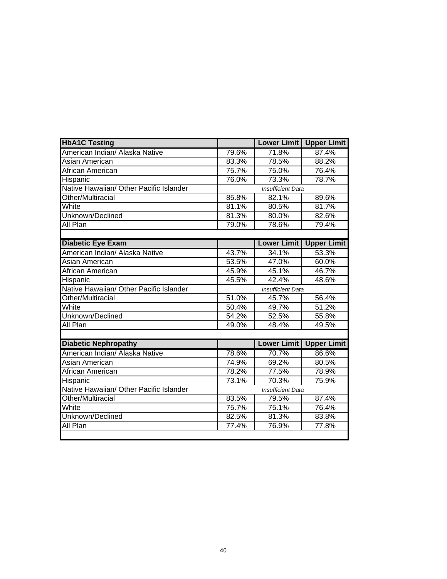| <b>HbA1C Testing</b>                    |       | <b>Lower Limit</b>       | <b>Upper Limit</b> |
|-----------------------------------------|-------|--------------------------|--------------------|
| American Indian/ Alaska Native          | 79.6% | 71.8%                    | 87.4%              |
| Asian American                          | 83.3% | 78.5%                    | 88.2%              |
| African American                        | 75.7% | 75.0%                    | 76.4%              |
| Hispanic                                | 76.0% | 73.3%                    | 78.7%              |
| Native Hawaiian/ Other Pacific Islander |       | <b>Insufficient Data</b> |                    |
| Other/Multiracial                       | 85.8% | 82.1%                    | 89.6%              |
| White                                   | 81.1% | 80.5%                    | 81.7%              |
| Unknown/Declined                        | 81.3% | 80.0%                    | 82.6%              |
| All Plan                                | 79.0% | 78.6%                    | 79.4%              |
|                                         |       |                          |                    |
| <b>Diabetic Eye Exam</b>                |       | <b>Lower Limit</b>       | <b>Upper Limit</b> |
| American Indian/ Alaska Native          | 43.7% | 34.1%                    | 53.3%              |
| Asian American                          | 53.5% | 47.0%                    | 60.0%              |
| African American                        | 45.9% | 45.1%                    | 46.7%              |
| Hispanic                                | 45.5% | 42.4%                    | 48.6%              |
| Native Hawaiian/ Other Pacific Islander |       | <b>Insufficient Data</b> |                    |
| Other/Multiracial                       | 51.0% | 45.7%                    | 56.4%              |
| White                                   | 50.4% | 49.7%                    | 51.2%              |
| Unknown/Declined                        | 54.2% | 52.5%                    | 55.8%              |
| All Plan                                | 49.0% | 48.4%                    | 49.5%              |
|                                         |       |                          |                    |
| <b>Diabetic Nephropathy</b>             |       | <b>Lower Limit</b>       | <b>Upper Limit</b> |
| American Indian/ Alaska Native          | 78.6% | 70.7%                    | 86.6%              |
| Asian American                          | 74.9% | 69.2%                    | 80.5%              |
| African American                        | 78.2% | 77.5%                    | 78.9%              |
| Hispanic                                | 73.1% | 70.3%                    | 75.9%              |
| Native Hawaiian/ Other Pacific Islander |       | <b>Insufficient Data</b> |                    |
| Other/Multiracial                       | 83.5% | 79.5%                    | 87.4%              |
| White                                   | 75.7% | 75.1%                    | 76.4%              |
| Unknown/Declined                        | 82.5% | 81.3%                    | 83.8%              |
| All Plan                                | 77.4% | 76.9%                    | 77.8%              |
|                                         |       |                          |                    |